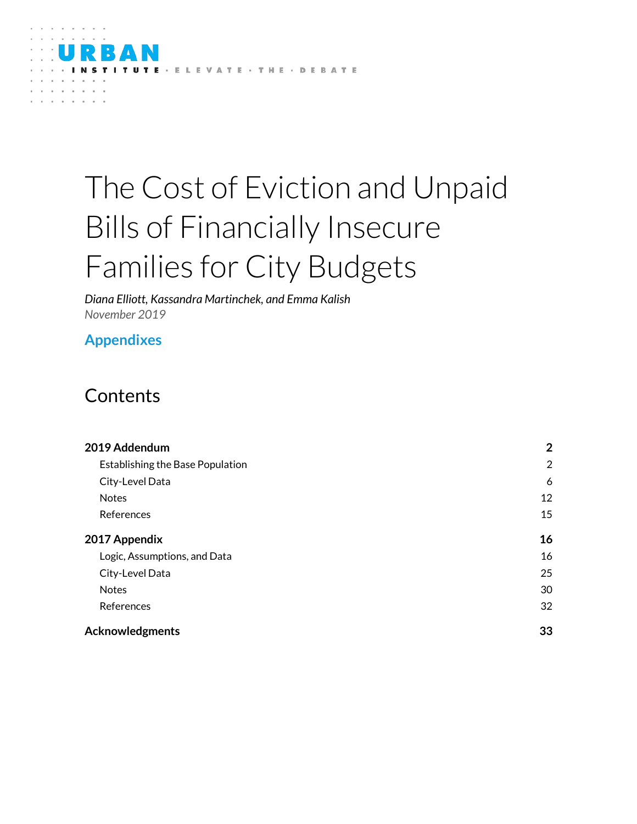

# The Cost of Eviction and Unpaid Bills of Financially Insecure Families for City Budgets

*Diana Elliott, Kassandra Martinchek, and Emma Kalish November 2019*

## **Appendixes**

## **Contents**

| 2019 Addendum                    | $\overline{2}$ |
|----------------------------------|----------------|
| Establishing the Base Population | $\overline{2}$ |
| City-Level Data                  | 6              |
| <b>Notes</b>                     | 12             |
| References                       | 15             |
| 2017 Appendix                    | 16             |
| Logic, Assumptions, and Data     | 16             |
| City-Level Data                  | 25             |
| <b>Notes</b>                     | 30             |
| References                       | 32             |
| <b>Acknowledgments</b>           | 33             |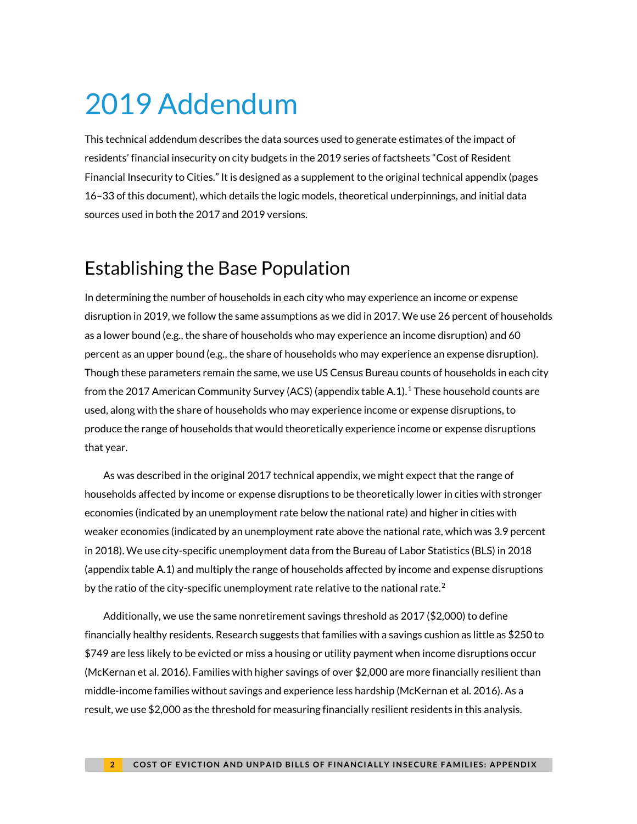# <span id="page-1-0"></span>2019 Addendum

This technical addendum describes the data sources used to generate estimates of the impact of residents' financial insecurity on city budgets in the 2019 series of factsheets "Cost of Resident Financial Insecurity to Cities." It is designed as a supplement to the original technical appendix (pages 16–33 of this document), which details the logic models, theoretical underpinnings, and initial data sources used in both the 2017 and 2019 versions.

# <span id="page-1-1"></span>Establishing the Base Population

In determining the number of households in each city who may experience an income or expense disruption in 2019, we follow the same assumptions as we did in 2017. We use 26 percent of households as a lower bound (e.g., the share of households who may experience an income disruption) and 60 percent as an upper bound (e.g., the share of households who may experience an expense disruption). Though these parameters remain the same, we use US Census Bureau counts of households in each city from the 2017 American Community Survey (ACS) (appendix table A.1).[1](#page-1-2) These household counts are used, along with the share of households who may experience income or expense disruptions, to produce the range of households that would theoretically experience income or expense disruptions that year.

As was described in the original 2017 technical appendix, we might expect that the range of households affected by income or expense disruptions to be theoretically lower in cities with stronger economies (indicated by an unemployment rate below the national rate) and higher in cities with weaker economies (indicated by an unemployment rate above the national rate, which was 3.9 percent in 2018). We use city-specific unemployment data from the Bureau of Labor Statistics (BLS) in 2018 (appendix table A.1) and multiply the range of households affected by income and expense disruptions by the ratio of the city-specific unemployment rate relative to the national rate.<sup>[2](#page-1-3)</sup>

<span id="page-1-3"></span><span id="page-1-2"></span>Additionally, we use the same nonretirement savings threshold as 2017 (\$2,000) to define financially healthy residents. Research suggests that families with a savings cushion as little as \$250 to \$749 are less likely to be evicted or miss a housing or utility payment when income disruptions occur (McKernan et al. 2016). Families with higher savings of over \$2,000 are more financially resilient than middle-income families without savings and experience less hardship (McKernan et al. 2016). As a result, we use \$2,000 as the threshold for measuring financially resilient residents in this analysis.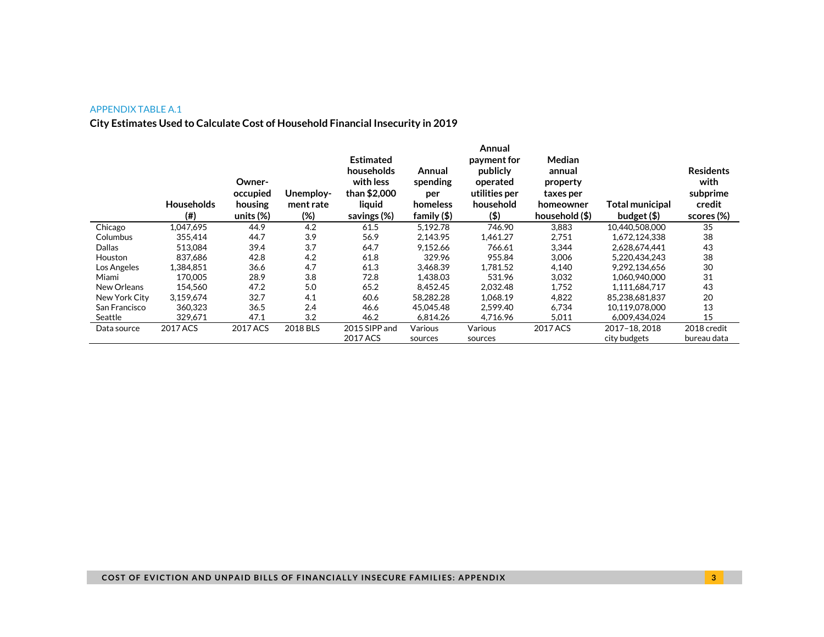#### APPENDIX TABLE A.1

#### **City Estimates Used to Calculate Cost of Household Financial Insecurity in 2019**

|               | <b>Households</b><br>(# ) | Owner-<br>occupied<br>housing<br>units $(\%)$ | Unemploy-<br>ment rate<br>(%) | <b>Estimated</b><br>households<br>with less<br>than \$2,000<br>liquid<br>savings (%) | Annual<br>spending<br>per<br>homeless<br>family $(\$)$ | Annual<br>payment for<br>publicly<br>operated<br>utilities per<br>household<br>$($ \$) | Median<br>annual<br>property<br>taxes per<br>homeowner<br>household (\$) | <b>Total municipal</b><br>budget $($ \$) | <b>Residents</b><br>with<br>subprime<br>credit<br>scores (%) |
|---------------|---------------------------|-----------------------------------------------|-------------------------------|--------------------------------------------------------------------------------------|--------------------------------------------------------|----------------------------------------------------------------------------------------|--------------------------------------------------------------------------|------------------------------------------|--------------------------------------------------------------|
| Chicago       | 1,047,695                 | 44.9                                          | 4.2                           | 61.5                                                                                 | 5.192.78                                               | 746.90                                                                                 | 3,883                                                                    | 10,440,508,000                           | 35                                                           |
| Columbus      | 355,414                   | 44.7                                          | 3.9                           | 56.9                                                                                 | 2.143.95                                               | 1,461.27                                                                               | 2,751                                                                    | 1,672,124,338                            | 38                                                           |
| Dallas        | 513,084                   | 39.4                                          | 3.7                           | 64.7                                                                                 | 9,152.66                                               | 766.61                                                                                 | 3,344                                                                    | 2,628,674,441                            | 43                                                           |
| Houston       | 837.686                   | 42.8                                          | 4.2                           | 61.8                                                                                 | 329.96                                                 | 955.84                                                                                 | 3.006                                                                    | 5.220.434.243                            | 38                                                           |
| Los Angeles   | 1.384.851                 | 36.6                                          | 4.7                           | 61.3                                                                                 | 3.468.39                                               | 1.781.52                                                                               | 4,140                                                                    | 9.292.134.656                            | 30                                                           |
| Miami         | 170,005                   | 28.9                                          | 3.8                           | 72.8                                                                                 | 1.438.03                                               | 531.96                                                                                 | 3,032                                                                    | 1.060.940.000                            | 31                                                           |
| New Orleans   | 154.560                   | 47.2                                          | 5.0                           | 65.2                                                                                 | 8.452.45                                               | 2.032.48                                                                               | 1,752                                                                    | 1.111.684.717                            | 43                                                           |
| New York City | 3,159,674                 | 32.7                                          | 4.1                           | 60.6                                                                                 | 58.282.28                                              | 1,068.19                                                                               | 4,822                                                                    | 85,238,681,837                           | 20                                                           |
| San Francisco | 360,323                   | 36.5                                          | 2.4                           | 46.6                                                                                 | 45.045.48                                              | 2.599.40                                                                               | 6,734                                                                    | 10,119,078,000                           | 13                                                           |
| Seattle       | 329,671                   | 47.1                                          | 3.2                           | 46.2                                                                                 | 6,814.26                                               | 4,716.96                                                                               | 5,011                                                                    | 6,009,434,024                            | 15                                                           |
| Data source   | 2017 ACS                  | 2017 ACS                                      | 2018 BLS                      | 2015 SIPP and                                                                        | Various                                                | Various                                                                                | 2017 ACS                                                                 | 2017-18.2018                             | 2018 credit                                                  |
|               |                           |                                               |                               | 2017 ACS                                                                             | sources                                                | sources                                                                                |                                                                          | city budgets                             | bureau data                                                  |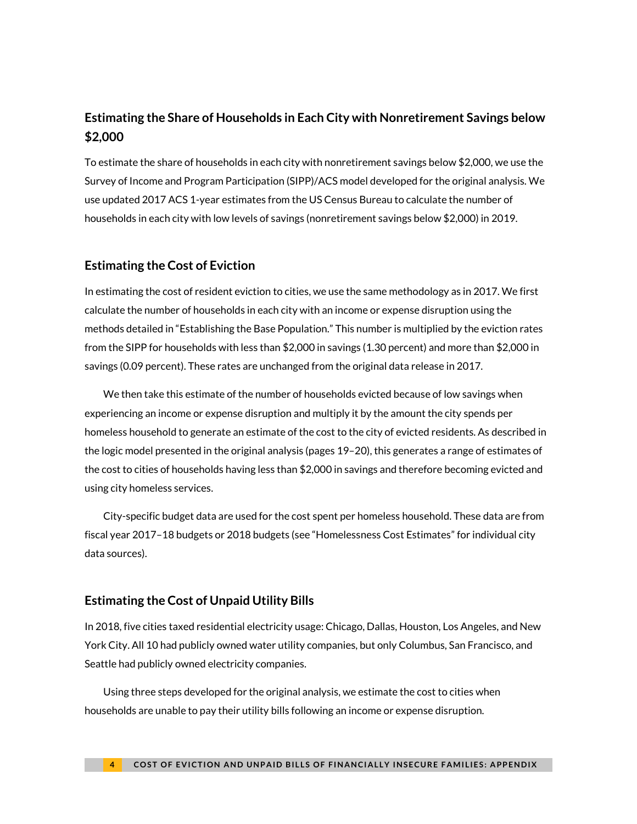### **Estimating the Share of Households in Each City with Nonretirement Savings below \$2,000**

To estimate the share of households in each city with nonretirement savings below \$2,000, we use the Survey of Income and Program Participation (SIPP)/ACS model developed for the original analysis. We use updated 2017 ACS 1-year estimates from the US Census Bureau to calculate the number of households in each city with low levels of savings (nonretirement savings below \$2,000) in 2019.

#### **Estimating the Cost of Eviction**

In estimating the cost of resident eviction to cities, we use the same methodology as in 2017. We first calculate the number of households in each city with an income or expense disruption using the methods detailed in "Establishing the Base Population." This number is multiplied by the eviction rates from the SIPP for households with less than \$2,000 in savings (1.30 percent) and more than \$2,000 in savings (0.09 percent). These rates are unchanged from the original data release in 2017.

We then take this estimate of the number of households evicted because of low savings when experiencing an income or expense disruption and multiply it by the amount the city spends per homeless household to generate an estimate of the cost to the city of evicted residents. As described in the logic model presented in the original analysis (pages 19–20), this generates a range of estimates of the cost to cities of households having less than \$2,000 in savings and therefore becoming evicted and using city homeless services.

City-specific budget data are used for the cost spent per homeless household. These data are from fiscal year 2017–18 budgets or 2018 budgets (see ["Homelessness Cost Estimates"](#page-5-1) for individual city data sources).

### **Estimating the Cost of Unpaid Utility Bills**

In 2018, five cities taxed residential electricity usage: Chicago, Dallas, Houston, Los Angeles, and New York City. All 10 had publicly owned water utility companies, but only Columbus, San Francisco, and Seattle had publicly owned electricity companies.

Using three steps developed for the original analysis, we estimate the cost to cities when households are unable to pay their utility bills following an income or expense disruption.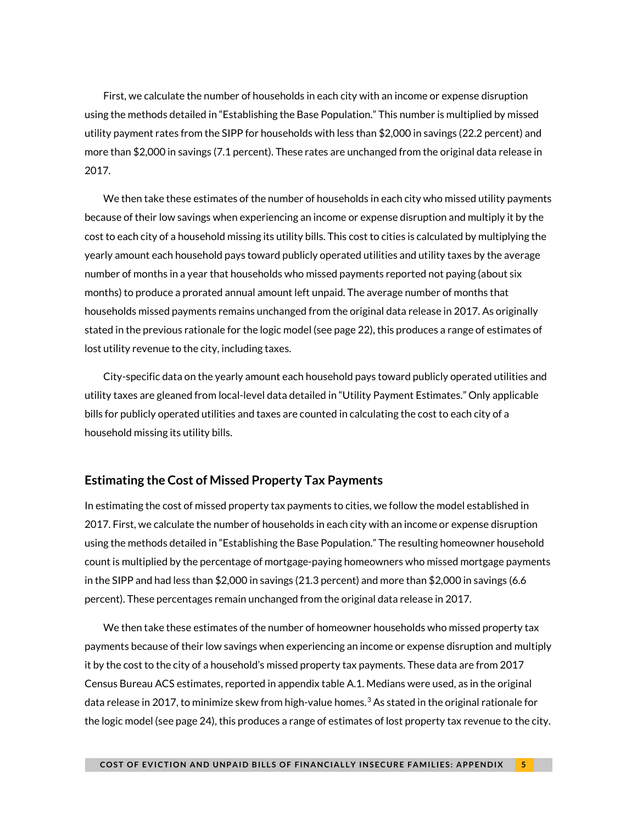First, we calculate the number of households in each city with an income or expense disruption using the methods detailed in ["Establishing the Base Population.](#page-1-1)" This number is multiplied by missed utility payment rates from the SIPP for households with less than \$2,000 in savings (22.2 percent) and more than \$2,000 in savings (7.1 percent). These rates are unchanged from the original data release in 2017.

We then take these estimates of the number of households in each city who missed utility payments because of their low savings when experiencing an income or expense disruption and multiply it by the cost to each city of a household missing its utility bills. This cost to cities is calculated by multiplying the yearly amount each household pays toward publicly operated utilities and utility taxes by the average number of months in a year that households who missed payments reported not paying (about six months) to produce a prorated annual amount left unpaid. The average number of months that households missed payments remains unchanged from the original data release in 2017. As originally stated in the previous rationale for the logic model (see page 22), this produces a range of estimates of lost utility revenue to the city, including taxes.

City-specific data on the yearly amount each household pays toward publicly operated utilities and utility taxes are gleaned from local-level data detailed in "Utility Payment Estimates." Only applicable bills for publicly operated utilities and taxes are counted in calculating the cost to each city of a household missing its utility bills.

#### **Estimating the Cost of Missed Property Tax Payments**

In estimating the cost of missed property tax payments to cities, we follow the model established in 2017. First, we calculate the number of households in each city with an income or expense disruption using the methods detailed in "Establishing the Base Population." The resulting homeowner household count is multiplied by the percentage of mortgage-paying homeowners who missed mortgage payments in the SIPP and had less than \$2,000 in savings (21.3 percent) and more than \$2,000 in savings (6.6 percent). These percentages remain unchanged from the original data release in 2017.

We then take these estimates of the number of homeowner households who missed property tax payments because of their low savings when experiencing an income or expense disruption and multiply it by the cost to the city of a household's missed property tax payments. These data are from 2017 Census Bureau ACS estimates, reported in appendix table A.1. Medians were used, as in the original data release in 2017, to minimize skew from high-value homes. $^3$  $^3$  As stated in the original rationale for the logic model (see page 24), this produces a range of estimates of lost property tax revenue to the city.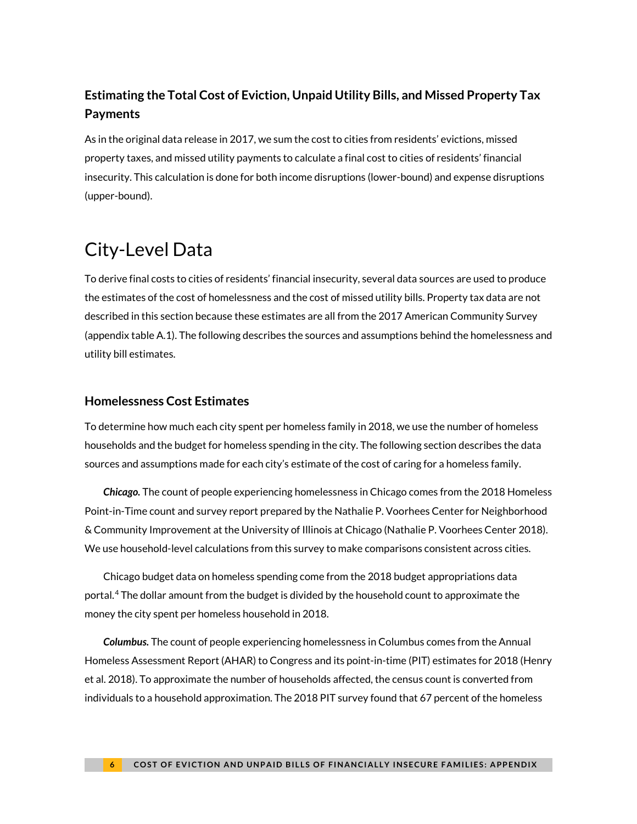## **Estimating the Total Cost of Eviction, Unpaid Utility Bills, and Missed Property Tax Payments**

As in the original data release in 2017, we sum the cost to cities from residents' evictions, missed property taxes, and missed utility payments to calculate a final cost to cities of residents' financial insecurity. This calculation is done for both income disruptions (lower-bound) and expense disruptions (upper-bound).

# <span id="page-5-0"></span>City-Level Data

To derive final costs to cities of residents' financial insecurity, several data sources are used to produce the estimates of the cost of homelessness and the cost of missed utility bills. Property tax data are not described in this section because these estimates are all from the 2017 American Community Survey (appendix table A.1). The following describes the sources and assumptions behind the homelessness and utility bill estimates.

#### <span id="page-5-1"></span>**Homelessness Cost Estimates**

To determine how much each city spent per homeless family in 2018, we use the number of homeless households and the budget for homeless spending in the city. The following section describes the data sources and assumptions made for each city's estimate of the cost of caring for a homeless family.

*Chicago.* The count of people experiencing homelessness in Chicago comes from the 2018 Homeless Point-in-Time count and survey report prepared by the Nathalie P. Voorhees Center for Neighborhood & Community Improvement at the University of Illinois at Chicago (Nathalie P. Voorhees Center 2018). We use household-level calculations from this survey to make comparisons consistent across cities.

Chicago budget data on homeless spending come from the 2018 budget appropriations data portal.[4](#page-12-0) The dollar amount from the budget is divided by the household count to approximate the money the city spent per homeless household in 2018.

*Columbus.* The count of people experiencing homelessness in Columbus comes from the Annual Homeless Assessment Report (AHAR) to Congress and its point-in-time (PIT) estimates for 2018 (Henry et al. 2018). To approximate the number of households affected, the census count is converted from individuals to a household approximation. The 2018 PIT survey found that 67 percent of the homeless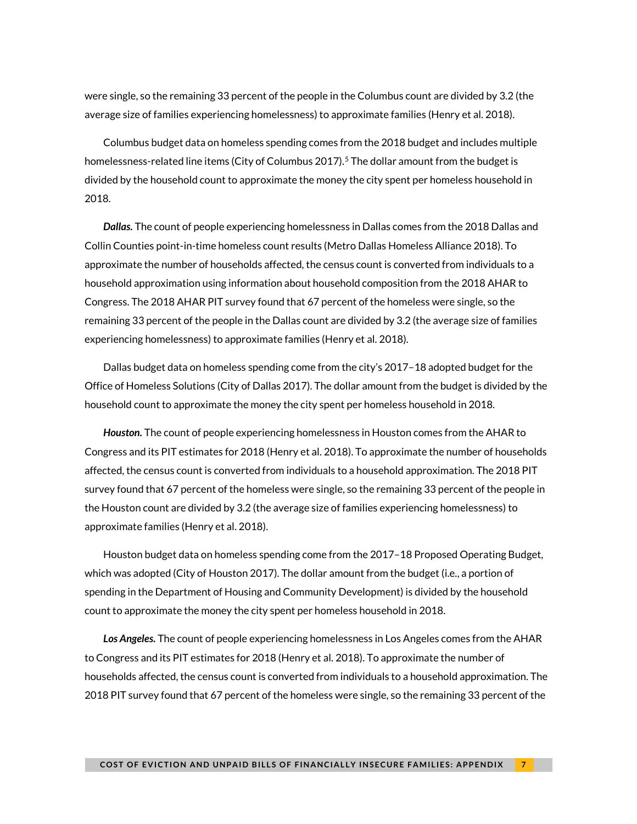were single, so the remaining 33 percent of the people in the Columbus count are divided by 3.2 (the average size of families experiencing homelessness) to approximate families (Henry et al. 2018).

Columbus budget data on homeless spending comes from the 2018 budget and includes multiple homelessness-related line items (City of Columbus 2017).<sup>[5](#page-13-0)</sup> The dollar amount from the budget is divided by the household count to approximate the money the city spent per homeless household in 2018.

*Dallas.* The count of people experiencing homelessness in Dallas comes from the 2018 Dallas and Collin Counties point-in-time homeless count results (Metro Dallas Homeless Alliance 2018). To approximate the number of households affected, the census count is converted from individuals to a household approximation using information about household composition from the 2018 AHAR to Congress. The 2018 AHAR PIT survey found that 67 percent of the homeless were single, so the remaining 33 percent of the people in the Dallas count are divided by 3.2 (the average size of families experiencing homelessness) to approximate families (Henry et al. 2018).

Dallas budget data on homeless spending come from the city's 2017–18 adopted budget for the Office of Homeless Solutions (City of Dallas 2017). The dollar amount from the budget is divided by the household count to approximate the money the city spent per homeless household in 2018.

*Houston.* The count of people experiencing homelessness in Houston comes from the AHAR to Congress and its PIT estimates for 2018 (Henry et al. 2018). To approximate the number of households affected, the census count is converted from individuals to a household approximation. The 2018 PIT survey found that 67 percent of the homeless were single, so the remaining 33 percent of the people in the Houston count are divided by 3.2 (the average size of families experiencing homelessness) to approximate families (Henry et al. 2018).

Houston budget data on homeless spending come from the 2017–18 Proposed Operating Budget, which was adopted (City of Houston 2017). The dollar amount from the budget (i.e., a portion of spending in the Department of Housing and Community Development) is divided by the household count to approximate the money the city spent per homeless household in 2018.

*Los Angeles.* The count of people experiencing homelessness in Los Angeles comes from the AHAR to Congress and its PIT estimates for 2018 (Henry et al. 2018). To approximate the number of households affected, the census count is converted from individuals to a household approximation. The 2018 PIT survey found that 67 percent of the homeless were single, so the remaining 33 percent of the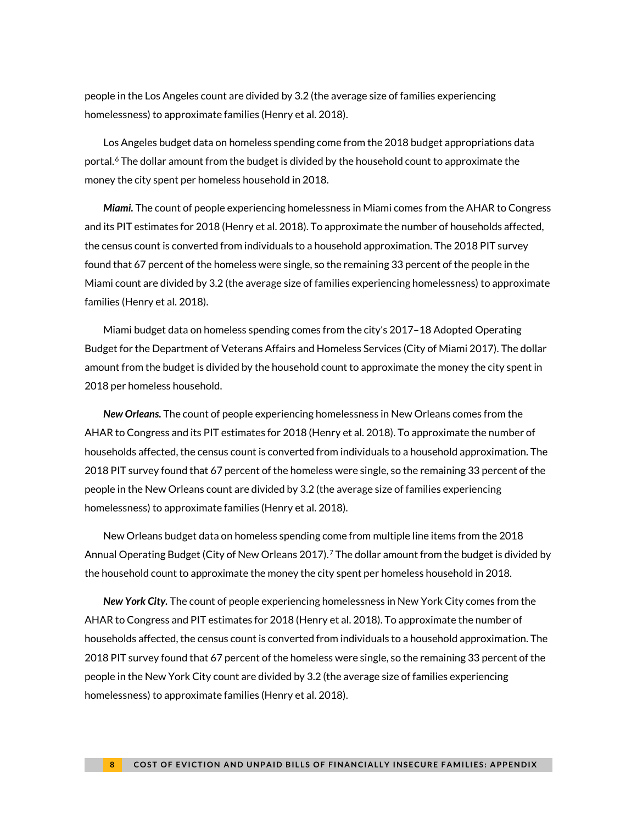people in the Los Angeles count are divided by 3.2 (the average size of families experiencing homelessness) to approximate families (Henry et al. 2018).

Los Angeles budget data on homeless spending come from the 2018 budget appropriations data portal.<sup>[6](#page-13-1)</sup> The dollar amount from the budget is divided by the household count to approximate the money the city spent per homeless household in 2018.

*Miami.* The count of people experiencing homelessness in Miami comes from the AHAR to Congress and its PIT estimates for 2018 (Henry et al. 2018). To approximate the number of households affected, the census count is converted from individuals to a household approximation. The 2018 PIT survey found that 67 percent of the homeless were single, so the remaining 33 percent of the people in the Miami count are divided by 3.2 (the average size of families experiencing homelessness) to approximate families (Henry et al. 2018).

Miami budget data on homeless spending comes from the city's 2017–18 Adopted Operating Budget for the Department of Veterans Affairs and Homeless Services (City of Miami 2017). The dollar amount from the budget is divided by the household count to approximate the money the city spent in 2018 per homeless household.

*New Orleans.* The count of people experiencing homelessness in New Orleans comes from the AHAR to Congress and its PIT estimates for 2018 (Henry et al. 2018). To approximate the number of households affected, the census count is converted from individuals to a household approximation. The 2018 PIT survey found that 67 percent of the homeless were single, so the remaining 33 percent of the people in the New Orleans count are divided by 3.2 (the average size of families experiencing homelessness) to approximate families (Henry et al. 2018).

New Orleans budget data on homeless spending come from multiple line items from the 2018 Annual Operating Budget (City of New Orleans 201[7](#page-13-2)).<sup>7</sup> The dollar amount from the budget is divided by the household count to approximate the money the city spent per homeless household in 2018.

*New York City.* The count of people experiencing homelessness in New York City comes from the AHAR to Congress and PIT estimates for 2018 (Henry et al. 2018). To approximate the number of households affected, the census count is converted from individuals to a household approximation. The 2018 PIT survey found that 67 percent of the homeless were single, so the remaining 33 percent of the people in the New York City count are divided by 3.2 (the average size of families experiencing homelessness) to approximate families (Henry et al. 2018).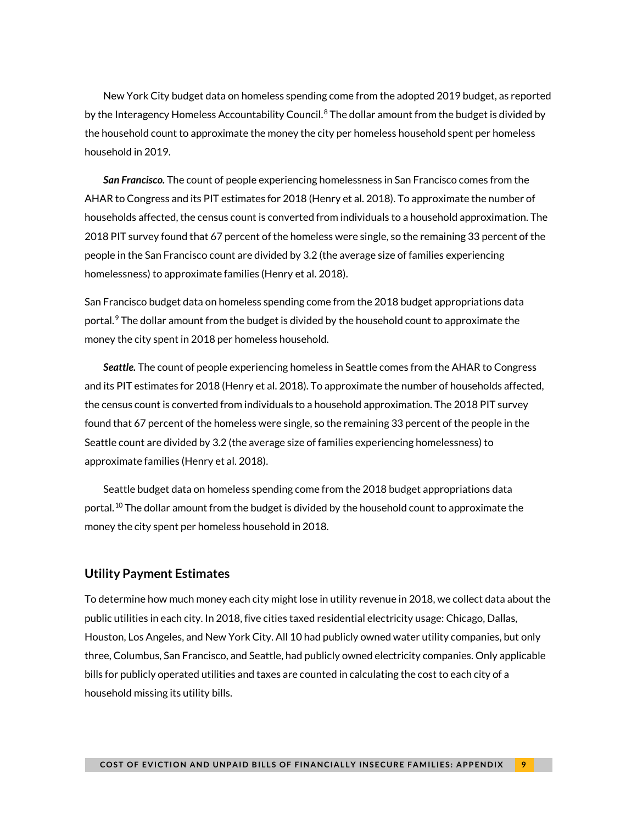New York City budget data on homeless spending come from the adopted 2019 budget, as reported by the Interagency Homeless Accountability Council.<sup>[8](#page-14-1)</sup> The dollar amount from the budget is divided by the household count to approximate the money the city per homeless household spent per homeless household in 2019.

*San Francisco.* The count of people experiencing homelessness in San Francisco comes from the AHAR to Congress and its PIT estimates for 2018 (Henry et al. 2018). To approximate the number of households affected, the census count is converted from individuals to a household approximation. The 2018 PIT survey found that 67 percent of the homeless were single, so the remaining 33 percent of the people in the San Francisco count are divided by 3.2 (the average size of families experiencing homelessness) to approximate families (Henry et al. 2018).

San Francisco budget data on homeless spending come from the 2018 budget appropriations data portal.[9](#page-14-2) The dollar amount from the budget is divided by the household count to approximate the money the city spent in 2018 per homeless household.

*Seattle.* The count of people experiencing homeless in Seattle comes from the AHAR to Congress and its PIT estimates for 2018 (Henry et al. 2018). To approximate the number of households affected, the census count is converted from individuals to a household approximation. The 2018 PIT survey found that 67 percent of the homeless were single, so the remaining 33 percent of the people in the Seattle count are divided by 3.2 (the average size of families experiencing homelessness) to approximate families (Henry et al. 2018).

Seattle budget data on homeless spending come from the 2018 budget appropriations data portal.<sup>[10](#page-14-3)</sup> The dollar amount from the budget is divided by the household count to approximate the money the city spent per homeless household in 2018.

#### **Utility Payment Estimates**

To determine how much money each city might lose in utility revenue in 2018, we collect data about the public utilities in each city. In 2018, five cities taxed residential electricity usage: Chicago, Dallas, Houston, Los Angeles, and New York City. All 10 had publicly owned water utility companies, but only three, Columbus, San Francisco, and Seattle, had publicly owned electricity companies. Only applicable bills for publicly operated utilities and taxes are counted in calculating the cost to each city of a household missing its utility bills.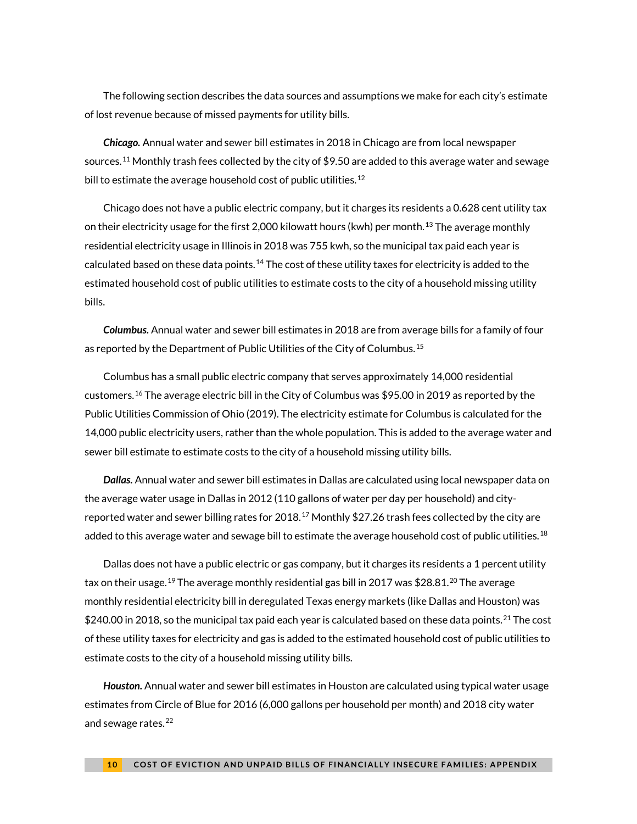The following section describes the data sources and assumptions we make for each city's estimate of lost revenue because of missed payments for utility bills.

*Chicago.* Annual water and sewer bill estimates in 2018 in Chicago are from local newspaper sources.<sup>[11](#page-15-2)</sup> Monthly trash fees collected by the city of \$9.50 are added to this average water and sewage bill to estimate the average household cost of public utilities.<sup>[12](#page-15-3)</sup>

Chicago does not have a public electric company, but it charges its residents a 0.628 cent utility tax on their electricity usage for the first 2,000 kilowatt hours (kwh) per month. $^{13}$  $^{13}$  $^{13}$  The average monthly residential electricity usage in Illinois in 2018 was 755 kwh, so the municipal tax paid each year is calculated based on these data points.<sup>[14](#page-15-5)</sup> The cost of these utility taxes for electricity is added to the estimated household cost of public utilities to estimate costs to the city of a household missing utility bills.

*Columbus.* Annual water and sewer bill estimates in 2018 are from average bills for a family of four as reported by the Department of Public Utilities of the City of Columbus.<sup>[15](#page-15-6)</sup>

Columbus has a small public electric company that serves approximately 14,000 residential customers.[16](#page-15-7) The average electric bill in the City of Columbus was \$95.00 in 2019 as reported by the Public Utilities Commission of Ohio (2019). The electricity estimate for Columbus is calculated for the 14,000 public electricity users, rather than the whole population. This is added to the average water and sewer bill estimate to estimate costs to the city of a household missing utility bills.

*Dallas.* Annual water and sewer bill estimates in Dallas are calculated using local newspaper data on the average water usage in Dallas in 2012 (110 gallons of water per day per household) and city-reported water and sewer billing rates for 2018.<sup>[17](#page-15-8)</sup> Monthly \$27.26 trash fees collected by the city are added to this average water and sewage bill to estimate the average household cost of public utilities. $^{18}$  $^{18}$  $^{18}$ 

Dallas does not have a public electric or gas company, but it charges its residents a 1 percent utility tax on their usage.  $^{19}$  $^{19}$  $^{19}$  The average monthly residential gas bill in [20](#page-15-11)17 was \$28.81. $^{20}$  The average monthly residential electricity bill in deregulated Texas energy markets (like Dallas and Houston) was \$240.00 in 2018, so the municipal tax paid each year is calculated based on these data points.<sup>[21](#page-15-12)</sup> The cost of these utility taxes for electricity and gas is added to the estimated household cost of public utilities to estimate costs to the city of a household missing utility bills.

*Houston.* Annual water and sewer bill estimates in Houston are calculated using typical water usage estimates from Circle of Blue for 2016 (6,000 gallons per household per month) and 2018 city water and sewage rates.<sup>[22](#page-15-13)</sup>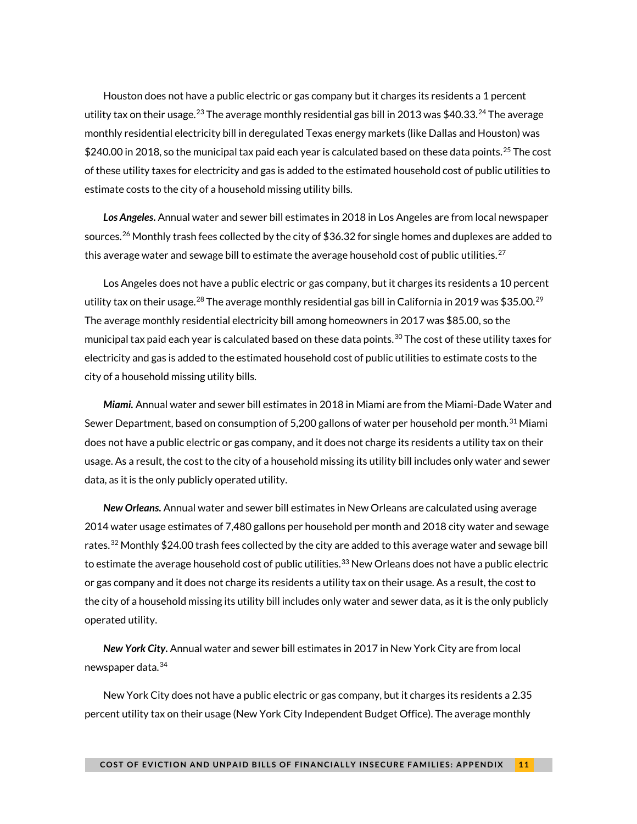Houston does not have a public electric or gas company but it charges its residents a 1 percent utility tax on their usage. $^{23}$  $^{23}$  $^{23}$  The average monthly residential gas bill in 2013 was \$40.33. $^{24}$  $^{24}$  $^{24}$  The average monthly residential electricity bill in deregulated Texas energy markets (like Dallas and Houston) was \$240.00 in 2018, so the municipal tax paid each year is calculated based on these data points.<sup>[25](#page-16-2)</sup> The cost of these utility taxes for electricity and gas is added to the estimated household cost of public utilities to estimate costs to the city of a household missing utility bills.

*Los Angeles***.** Annual water and sewer bill estimates in 2018 in Los Angeles are from local newspaper sources.<sup>[26](#page-16-3)</sup> Monthly trash fees collected by the city of \$36.32 for single homes and duplexes are added to this average water and sewage bill to estimate the average household cost of public utilities.<sup>[27](#page-16-4)</sup>

Los Angeles does not have a public electric or gas company, but it charges its residents a 10 percent utility tax on their usage. $^{28}$  $^{28}$  $^{28}$  The average monthly residential gas bill in California in 2019 was \$35.00. $^{29}$  $^{29}$  $^{29}$ The average monthly residential electricity bill among homeowners in 2017 was \$85.00, so the municipal tax paid each year is calculated based on these data points. $30$  The cost of these utility taxes for electricity and gas is added to the estimated household cost of public utilities to estimate costs to the city of a household missing utility bills.

*Miami.* Annual water and sewer bill estimates in 2018 in Miami are from the Miami-Dade Water and Sewer Department, based on consumption of 5,200 gallons of water per household per month.<sup>[31](#page-16-8)</sup> Miami does not have a public electric or gas company, and it does not charge its residents a utility tax on their usage. As a result, the cost to the city of a household missing its utility bill includes only water and sewer data, as it is the only publicly operated utility.

*New Orleans.* Annual water and sewer bill estimates in New Orleans are calculated using average 2014 water usage estimates of 7,480 gallons per household per month and 2018 city water and sewage rates. $^{32}$  $^{32}$  $^{32}$  Monthly  $$24.00$  trash fees collected by the city are added to this average water and sewage bill to estimate the average household cost of public utilities. $^{33}$  $^{33}$  $^{33}$  New Orleans does not have a public electric or gas company and it does not charge its residents a utility tax on their usage. As a result, the cost to the city of a household missing its utility bill includes only water and sewer data, as it is the only publicly operated utility.

*New York City***.** Annual water and sewer bill estimates in 2017 in New York City are from local newspaper data.<sup>[34](#page-16-11)</sup>

New York City does not have a public electric or gas company, but it charges its residents a 2.35 percent utility tax on their usage (New York City Independent Budget Office). The average monthly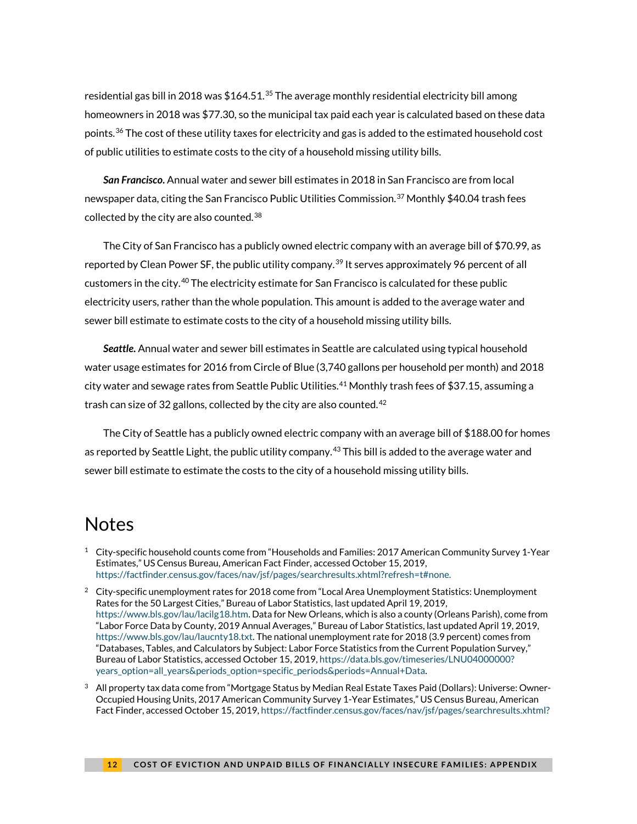residential gas bill in 2018 was  $$164.51<sup>35</sup>$  $$164.51<sup>35</sup>$  $$164.51<sup>35</sup>$  The average monthly residential electricity bill among homeowners in 2018 was \$77.30, so the municipal tax paid each year is calculated based on these data points.<sup>[36](#page-17-1)</sup> The cost of these utility taxes for electricity and gas is added to the estimated household cost of public utilities to estimate costs to the city of a household missing utility bills.

*San Francisco***.** Annual water and sewer bill estimates in 2018 in San Francisco are from local newspaper data, citing the San Francisco Public Utilities Commission. $^{37}$  $^{37}$  $^{37}$  Monthly \$40.04 trash fees collected by the city are also counted.<sup>[38](#page-17-3)</sup>

The City of San Francisco has a publicly owned electric company with an average bill of \$70.99, as reported by Clean Power SF, the public utility company.<sup>[39](#page-17-4)</sup> It serves approximately 96 percent of all customers in the city.[40](#page-17-5) The electricity estimate for San Francisco is calculated for these public electricity users, rather than the whole population. This amount is added to the average water and sewer bill estimate to estimate costs to the city of a household missing utility bills.

*Seattle***.** Annual water and sewer bill estimates in Seattle are calculated using typical household water usage estimates for 2016 from Circle of Blue (3,740 gallons per household per month) and 2018 city water and sewage rates from Seattle Public Utilities. $^{41}$  $^{41}$  $^{41}$  Monthly trash fees of \$37.15, assuming a trash can size of 32 gallons, collected by the city are also counted.  $42$ 

The City of Seattle has a publicly owned electric company with an average bill of \$188.00 for homes as reported by Seattle Light, the public utility company.<sup>[43](#page-17-8)</sup> This bill is added to the average water and sewer bill estimate to estimate the costs to the city of a household missing utility bills.

## <span id="page-11-0"></span>**Notes**

 $^1$  City-specific household counts come from "Households and Families: 2017 American Community Survey 1-Year Estimates," US Census Bureau, American Fact Finder, accessed October 15, 2019, [https://factfinder.census.gov/faces/nav/jsf/pages/searchresults.xhtml?refresh=t#none.](https://factfinder.census.gov/faces/nav/jsf/pages/searchresults.xhtml?refresh=t#none)

 $2$  City-specific unemployment rates for 2018 come from "Local Area Unemployment Statistics: Unemployment Rates for the 50 Largest Cities," Bureau of Labor Statistics, last updated April 19, 2019, [https://www.bls.gov/lau/lacilg18.htm.](https://www.bls.gov/lau/lacilg18.htm) Data for New Orleans, which is also a county (Orleans Parish), come from "Labor Force Data by County, 2019 Annual Averages," Bureau of Labor Statistics, last updated April 19, 2019, [https://www.bls.gov/lau/laucnty18.txt.](https://www.bls.gov/lau/laucnty18.txt) The national unemployment rate for 2018 (3.9 percent) comes from "Databases, Tables, and Calculators by Subject: Labor Force Statistics from the Current Population Survey," Bureau of Labor Statistics, accessed October 15, 2019[, https://data.bls.gov/timeseries/LNU04000000?](https://data.bls.gov/timeseries/LNU04000000?years_option=all_years&periods_option=specific_periods&periods=Annual+Data) [years\\_option=all\\_years&periods\\_option=specific\\_periods&periods=Annual+Data.](https://data.bls.gov/timeseries/LNU04000000?years_option=all_years&periods_option=specific_periods&periods=Annual+Data)

<span id="page-11-1"></span> $3$  All property tax data come from "Mortgage Status by Median Real Estate Taxes Paid (Dollars): Universe: Owner-Occupied Housing Units, 2017 American Community Survey 1-Year Estimates," US Census Bureau, American Fact Finder, accessed October 15, 2019[, https://factfinder.census.gov/faces/nav/jsf/pages/searchresults.xhtml?](https://factfinder.census.gov/faces/nav/jsf/pages/searchresults.xhtml?refresh=t#none)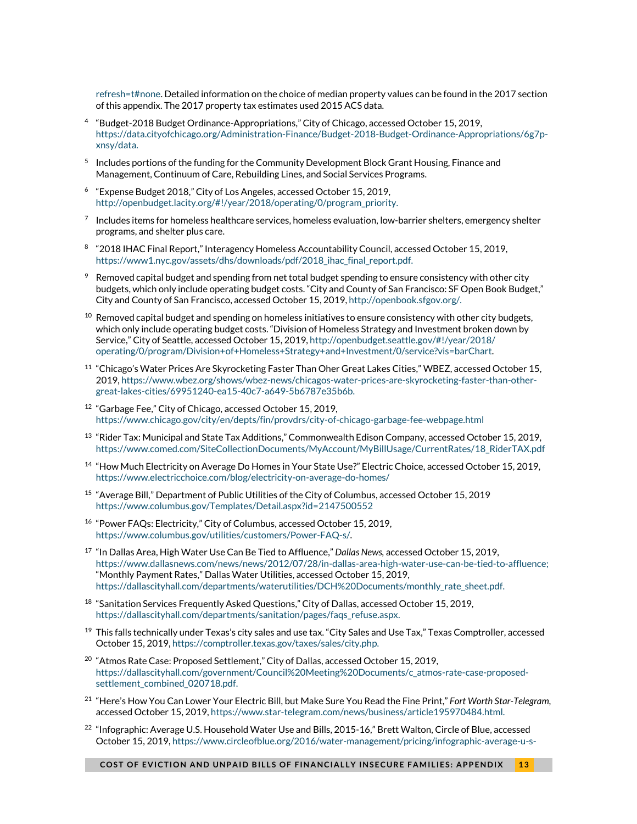[refresh=t#none.](https://factfinder.census.gov/faces/nav/jsf/pages/searchresults.xhtml?refresh=t#none) Detailed information on the choice of median property values can be found in the 2017 section of this appendix. The 2017 property tax estimates used 2015 ACS data.

- <span id="page-12-0"></span><sup>4</sup> "Budget-2018 Budget Ordinance-Appropriations," City of Chicago, accessed October 15, 2019, [https://data.cityofchicago.org/Administration-Finance/Budget-2018-Budget-Ordinance-Appropriations/6g7p](https://data.cityofchicago.org/Administration-Finance/Budget-2018-Budget-Ordinance-Appropriations/6g7p-xnsy/data)[xnsy/data.](https://data.cityofchicago.org/Administration-Finance/Budget-2018-Budget-Ordinance-Appropriations/6g7p-xnsy/data)
- <sup>5</sup> Includes portions of the funding for the Community Development Block Grant Housing, Finance and Management, Continuum of Care, Rebuilding Lines, and Social Services Programs.
- <sup>6</sup> "Expense Budget 2018," City of Los Angeles, accessed October 15, 2019, [http://openbudget.lacity.org/#!/year/2018/operating/0/program\\_priority.](http://openbudget.lacity.org/#!/year/2018/operating/0/program_priority)
- $7$  Includes items for homeless healthcare services, homeless evaluation, low-barrier shelters, emergency shelter programs, and shelter plus care.
- <sup>8</sup> "2018 IHAC Final Report," Interagency Homeless Accountability Council, accessed October 15, 2019, [https://www1.nyc.gov/assets/dhs/downloads/pdf/2018\\_ihac\\_final\\_report.pdf.](https://www1.nyc.gov/assets/dhs/downloads/pdf/2018_ihac_final_report.pdf)
- $9$  Removed capital budget and spending from net total budget spending to ensure consistency with other city budgets, which only include operating budget costs. "City and County of San Francisco: SF Open Book Budget," City and County of San Francisco, accessed October 15, 2019[, http://openbook.sfgov.org/.](http://openbook.sfgov.org/)
- $10$  Removed capital budget and spending on homeless initiatives to ensure consistency with other city budgets, which only include operating budget costs. "Division of Homeless Strategy and Investment broken down by Service," City of Seattle, accessed October 15, 2019[, http://openbudget.seattle.gov/#!/year/2018/](http://openbudget.seattle.gov/#!/year/2018/operating/0/program/Division+of+Homeless+Strategy+and+Investment/0/service?vis=barChart) [operating/0/program/Division+of+Homeless+Strategy+and+Investment/0/service?vis=barChart.](http://openbudget.seattle.gov/#!/year/2018/operating/0/program/Division+of+Homeless+Strategy+and+Investment/0/service?vis=barChart)
- <sup>11</sup> "Chicago's Water Prices Are Skyrocketing Faster Than Oher Great Lakes Cities," WBEZ, accessed October 15, 2019[, https://www.wbez.org/shows/wbez-news/chicagos-water-prices-are-skyrocketing-faster-than-other](https://www.wbez.org/shows/wbez-news/chicagos-water-prices-are-skyrocketing-faster-than-other-great-lakes-cities/69951240-ea15-40c7-a649-5b6787e35b6b)[great-lakes-cities/69951240-ea15-40c7-a649-5b6787e35b6b.](https://www.wbez.org/shows/wbez-news/chicagos-water-prices-are-skyrocketing-faster-than-other-great-lakes-cities/69951240-ea15-40c7-a649-5b6787e35b6b)
- <sup>12</sup> "Garbage Fee," City of Chicago, accessed October 15, 2019, <https://www.chicago.gov/city/en/depts/fin/provdrs/city-of-chicago-garbage-fee-webpage.html>
- $13$  "Rider Tax: Municipal and State Tax Additions," Commonwealth Edison Company, accessed October 15, 2019, [https://www.comed.com/SiteCollectionDocuments/MyAccount/MyBillUsage/CurrentRates/18\\_RiderTAX.pdf](https://www.comed.com/SiteCollectionDocuments/MyAccount/MyBillUsage/CurrentRates/18_RiderTAX.pdf)
- <sup>14</sup> "How Much Electricity on Average Do Homes in Your State Use?" Electric Choice, accessed October 15, 2019, <https://www.electricchoice.com/blog/electricity-on-average-do-homes/>
- <sup>15</sup> "Average Bill," Department of Public Utilities of the City of Columbus, accessed October 15, 2019 <https://www.columbus.gov/Templates/Detail.aspx?id=2147500552>
- <sup>16</sup> "Power FAQs: Electricity," City of Columbus, accessed October 15, 2019, [https://www.columbus.gov/utilities/customers/Power-FAQ-s/.](https://www.columbus.gov/utilities/customers/Power-FAQ-s/)
- <sup>17</sup> "In Dallas Area, High Water Use Can Be Tied to Affluence," *Dallas News,* accessed October 15, 2019, [https://www.dallasnews.com/news/news/2012/07/28/in-dallas-area-high-water-use-can-be-tied-to-affluence;](https://www.dallasnews.com/news/news/2012/07/28/in-dallas-area-high-water-use-can-be-tied-to-affluence) "Monthly Payment Rates," Dallas Water Utilities, accessed October 15, 2019, [https://dallascityhall.com/departments/waterutilities/DCH%20Documents/monthly\\_rate\\_sheet.pdf.](https://dallascityhall.com/departments/waterutilities/DCH%20Documents/monthly_rate_sheet.pdf)
- $18$  "Sanitation Services Frequently Asked Questions," City of Dallas, accessed October 15, 2019, [https://dallascityhall.com/departments/sanitation/pages/faqs\\_refuse.aspx.](https://dallascityhall.com/departments/sanitation/pages/faqs_refuse.aspx)
- $^{19}$  This falls technically under Texas's city sales and use tax. "City Sales and Use Tax," Texas Comptroller, accessed October 15, 2019[, https://comptroller.texas.gov/taxes/sales/city.php.](https://comptroller.texas.gov/taxes/sales/city.php)
- <sup>20</sup> "Atmos Rate Case: Proposed Settlement," City of Dallas, accessed October 15, 2019, [https://dallascityhall.com/government/Council%20Meeting%20Documents/c\\_atmos-rate-case-proposed](https://dallascityhall.com/government/Council%20Meeting%20Documents/c_atmos-rate-case-proposed-settlement_combined_020718.pdf)[settlement\\_combined\\_020718.pdf.](https://dallascityhall.com/government/Council%20Meeting%20Documents/c_atmos-rate-case-proposed-settlement_combined_020718.pdf)
- <sup>21</sup> "Here's How You Can Lower Your Electric Bill, but Make Sure You Read the Fine Print," *Fort Worth Star-Telegram,* accessed October 15, 2019[, https://www.star-telegram.com/news/business/article195970484.html.](https://www.star-telegram.com/news/business/article195970484.html)
- $^{22}$  "Infographic: Average U.S. Household Water Use and Bills, 2015-16," Brett Walton, Circle of Blue, accessed October 15, 2019[, https://www.circleofblue.org/2016/water-management/pricing/infographic-average-u-s-](https://www.circleofblue.org/2016/water-management/pricing/infographic-average-u-s-household-water-use-bills-2015-16/)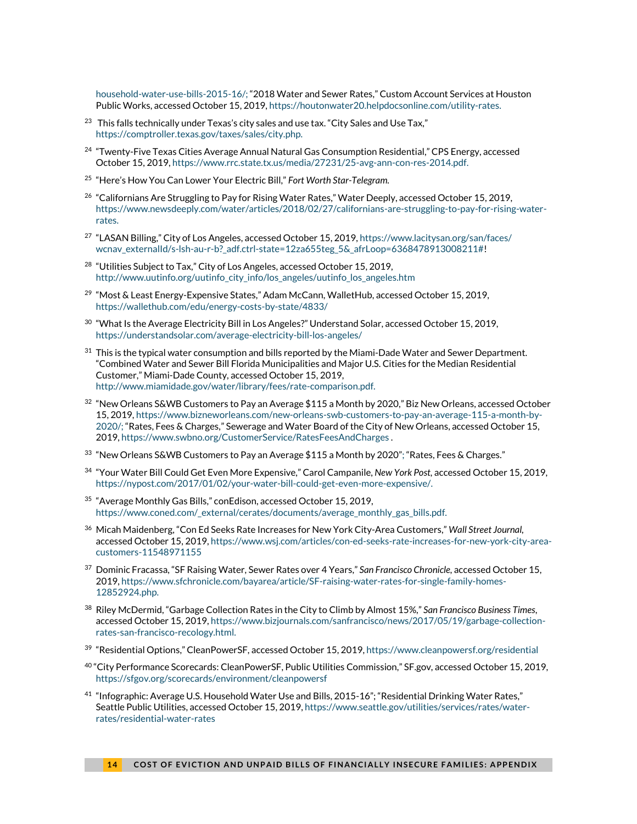[household-water-use-bills-2015-16/;](https://www.circleofblue.org/2016/water-management/pricing/infographic-average-u-s-household-water-use-bills-2015-16/) "2018 Water and Sewer Rates," Custom Account Services at Houston Public Works, accessed October 15, 2019[, https://houtonwater20.helpdocsonline.com/utility-rates.](https://houtonwater20.helpdocsonline.com/utility-rates)

- <sup>23</sup> This falls technically under Texas's city sales and use tax. "City Sales and Use Tax," [https://comptroller.texas.gov/taxes/sales/city.php.](https://comptroller.texas.gov/taxes/sales/city.php)
- <span id="page-13-0"></span><sup>24</sup> "Twenty-Five Texas Cities Average Annual Natural Gas Consumption Residential," CPS Energy, accessed October 15, 2019[, https://www.rrc.state.tx.us/media/27231/25-avg-ann-con-res-2014.pdf.](https://www.rrc.state.tx.us/media/27231/25-avg-ann-con-res-2014.pdf)
- <sup>25</sup> "Here's How You Can Lower Your Electric Bill," *Fort Worth Star-Telegram.*
- <span id="page-13-1"></span><sup>26</sup> "Californians Are Struggling to Pay for Rising Water Rates," Water Deeply, accessed October 15, 2019, [https://www.newsdeeply.com/water/articles/2018/02/27/californians-are-struggling-to-pay-for-rising-water](https://www.newsdeeply.com/water/articles/2018/02/27/californians-are-struggling-to-pay-for-rising-water-rates)[rates.](https://www.newsdeeply.com/water/articles/2018/02/27/californians-are-struggling-to-pay-for-rising-water-rates)
- <span id="page-13-2"></span><sup>27</sup> "LASAN Billing," City of Los Angeles, accessed October 15, 2019[, https://www.lacitysan.org/san/faces/](https://www.lacitysan.org/san/faces/wcnav_externalId/s-lsh-au-r-b?_adf.ctrl-state=12za655teg_5&_afrLoop=6368478913008211) [wcnav\\_externalId/s-lsh-au-r-b?\\_adf.ctrl-state=12za655teg\\_5&\\_afrLoop=6368478913008211#!](https://www.lacitysan.org/san/faces/wcnav_externalId/s-lsh-au-r-b?_adf.ctrl-state=12za655teg_5&_afrLoop=6368478913008211)
- <sup>28</sup> "Utilities Subject to Tax," City of Los Angeles, accessed October 15, 2019, [http://www.uutinfo.org/uutinfo\\_city\\_info/los\\_angeles/uutinfo\\_los\\_angeles.htm](http://www.uutinfo.org/uutinfo_city_info/los_angeles/uutinfo_los_angeles.htm)
- $^{29}$  "Most & Least Energy-Expensive States," Adam McCann, WalletHub, accessed October 15, 2019, <https://wallethub.com/edu/energy-costs-by-state/4833/>
- $30\,$  "What Is the Average Electricity Bill in Los Angeles?" Understand Solar, accessed October 15, 2019, <https://understandsolar.com/average-electricity-bill-los-angeles/>
- $31$  This is the typical water consumption and bills reported by the Miami-Dade Water and Sewer Department. "Combined Water and Sewer Bill Florida Municipalities and Major U.S. Cities for the Median Residential Customer," Miami-Dade County, accessed October 15, 2019, [http://www.miamidade.gov/water/library/fees/rate-comparison.pdf.](http://www.miamidade.gov/water/library/fees/rate-comparison.pdf)
- $32$  "New Orleans S&WB Customers to Pay an Average \$115 a Month by 2020," Biz New Orleans, accessed October 15, 2019[, https://www.bizneworleans.com/new-orleans-swb-customers-to-pay-an-average-115-a-month-by-](https://www.bizneworleans.com/new-orleans-swb-customers-to-pay-an-average-115-a-month-by-2020/)[2020/;](https://www.bizneworleans.com/new-orleans-swb-customers-to-pay-an-average-115-a-month-by-2020/) "Rates, Fees & Charges," Sewerage and Water Board of the City of New Orleans, accessed October 15, 2019, <https://www.swbno.org/CustomerService/RatesFeesAndCharges> .
- $33$  "New Orleans S&WB Customers to Pay an Average  $$115$  a Month by 2020"; "Rates, Fees & Charges."
- <sup>34</sup> "Your Water Bill Could Get Even More Expensive," Carol Campanile, *New York Post,* accessed October 15, 2019, [https://nypost.com/2017/01/02/your-water-bill-could-get-even-more-expensive/.](https://nypost.com/2017/01/02/your-water-bill-could-get-even-more-expensive/)
- $35$  "Average Monthly Gas Bills," conEdison, accessed October 15, 2019, [https://www.coned.com/\\_external/cerates/documents/average\\_monthly\\_gas\\_bills.pdf.](https://www.coned.com/_external/cerates/documents/average_monthly_gas_bills.pdf)
- <sup>36</sup> Micah Maidenberg, "Con Ed Seeks Rate Increases for New York City-Area Customers," *Wall Street Journal,* accessed October 15, 2019[, https://www.wsj.com/articles/con-ed-seeks-rate-increases-for-new-york-city-area](https://www.wsj.com/articles/con-ed-seeks-rate-increases-for-new-york-city-area-customers-11548971155)[customers-11548971155](https://www.wsj.com/articles/con-ed-seeks-rate-increases-for-new-york-city-area-customers-11548971155)
- <sup>37</sup> Dominic Fracassa, "SF Raising Water, Sewer Rates over 4 Years," *San Francisco Chronicle,* accessed October 15, 2019[, https://www.sfchronicle.com/bayarea/article/SF-raising-water-rates-for-single-family-homes-](https://www.sfchronicle.com/bayarea/article/SF-raising-water-rates-for-single-family-homes-12852924.php)[12852924.php.](https://www.sfchronicle.com/bayarea/article/SF-raising-water-rates-for-single-family-homes-12852924.php)
- <sup>38</sup> Riley McDermid, "Garbage Collection Rates in the City to Climb by Almost 15%," *San Francisco Business Times*, accessed October 15, 2019[, https://www.bizjournals.com/sanfrancisco/news/2017/05/19/garbage-collection](https://www.bizjournals.com/sanfrancisco/news/2017/05/19/garbage-collection-rates-san-francisco-recology.html)[rates-san-francisco-recology.html.](https://www.bizjournals.com/sanfrancisco/news/2017/05/19/garbage-collection-rates-san-francisco-recology.html)
- <sup>39</sup> "Residential Options," CleanPowerSF, accessed October 15, 2019[, https://www.cleanpowersf.org/residential](https://www.cleanpowersf.org/residential)
- <sup>40</sup> "City Performance Scorecards: CleanPowerSF, Public Utilities Commission," SF.gov, accessed October 15, 2019, <https://sfgov.org/scorecards/environment/cleanpowersf>
- <sup>41</sup> "Infographic: Average U.S. Household Water Use and Bills, 2015-16"; "Residential Drinking Water Rates," Seattle Public Utilities, accessed October 15, 2019[, https://www.seattle.gov/utilities/services/rates/water](https://www.seattle.gov/utilities/services/rates/water-rates/residential-water-rates)[rates/residential-water-rates](https://www.seattle.gov/utilities/services/rates/water-rates/residential-water-rates)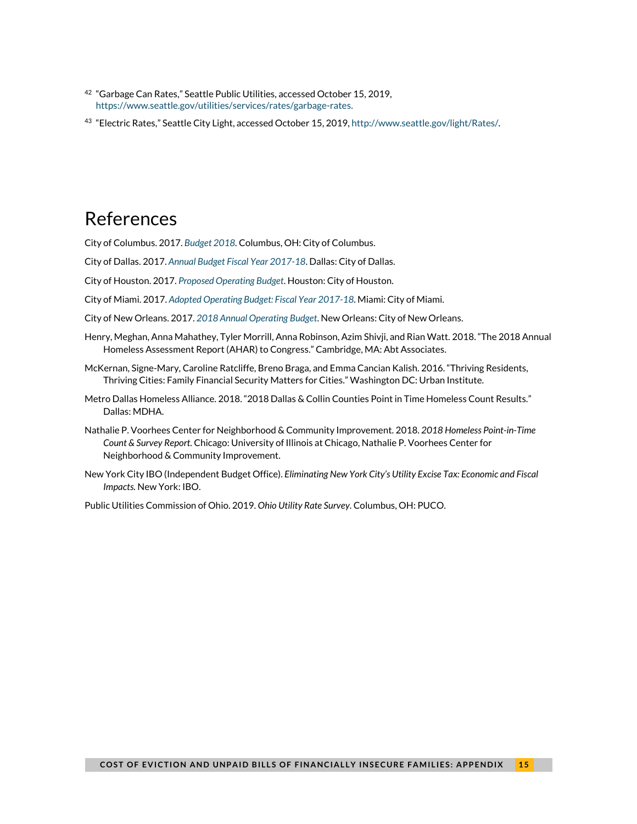- <sup>42</sup> "Garbage Can Rates," Seattle Public Utilities, accessed October 15, 2019, [https://www.seattle.gov/utilities/services/rates/garbage-rates.](https://www.seattle.gov/utilities/services/rates/garbage-rates)
- <sup>43</sup> "Electric Rates," Seattle City Light, accessed October 15, 2019[, http://www.seattle.gov/light/Rates/.](http://www.seattle.gov/light/Rates/)

## <span id="page-14-0"></span>References

<span id="page-14-1"></span>City of Columbus. 2017. *[Budget 2018.](https://www.columbus.gov/uploadedFiles/Columbus/Departments/Finance_and_Management/Financial_Management_Group/Budget_Management/2018_Budget/Complete.pdf)* Columbus, OH: City of Columbus.

City of Dallas. 2017. *[Annual Budget Fiscal Year 2017-18](https://dallascityhall.com/departments/budget/financialtransparency/AnnualBudget/FY-2017-18-Adopted-Budget.pdf)*. Dallas: City of Dallas.

<span id="page-14-2"></span>City of Houston. 2017. *[Proposed Operating Budget](http://www.houstontx.gov/budget/18budprop/FY2018_Proposed_Budget.pdf)*. Houston: City of Houston.

City of Miami. 2017. *[Adopted Operating Budget: Fiscal Year 2017-18](http://archive.miamigov.com/Budget/docs/FY18/FY18AdoptedbudgetBook.pdf)*. Miami: City of Miami.

<span id="page-14-3"></span>City of New Orleans. 2017. *[2018 Annual Operating Budget](https://www.nola.gov/nola/media/Mayor-s-Office/Files/2018-Adopted-Budget-Book-3-9-2018.pdf)*. New Orleans: City of New Orleans.

- Henry, Meghan, Anna Mahathey, Tyler Morrill, Anna Robinson, Azim Shivji, and Rian Watt. 2018. "The 2018 Annual Homeless Assessment Report (AHAR) to Congress." Cambridge, MA: Abt Associates.
- McKernan, Signe-Mary, Caroline Ratcliffe, Breno Braga, and Emma Cancian Kalish. 2016. "Thriving Residents, Thriving Cities: Family Financial Security Matters for Cities." Washington DC: Urban Institute.
- Metro Dallas Homeless Alliance. 2018. "2018 Dallas & Collin Counties Point in Time Homeless Count Results." Dallas: MDHA.
- Nathalie P. Voorhees Center for Neighborhood & Community Improvement. 2018. *2018 Homeless Point-in-Time Count & Survey Report.* Chicago: University of Illinois at Chicago, Nathalie P. Voorhees Center for Neighborhood & Community Improvement.
- New York City IBO (Independent Budget Office). *Eliminating New York City's Utility Excise Tax: Economic and Fiscal Impacts.* New York: IBO.

Public Utilities Commission of Ohio. 2019. *Ohio Utility Rate Survey.* Columbus, OH: PUCO.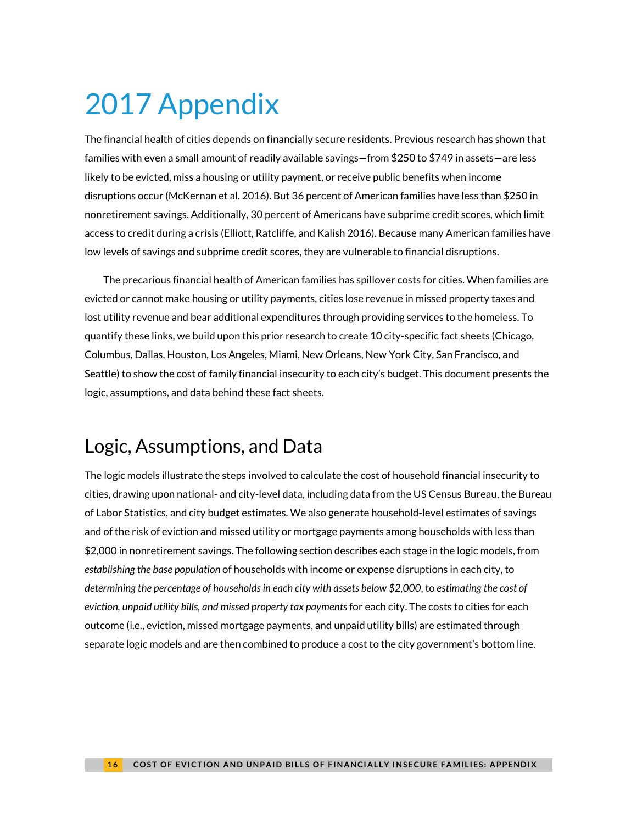# <span id="page-15-0"></span>2017 Appendix

The financial health of cities depends on financially secure residents. Previous research has shown that families with even a small amount of readily available savings—from \$250 to \$749 in assets—are less likely to be evicted, miss a housing or utility payment, or receive public benefits when income disruptions occur (McKernan et al. 2016). But 36 percent of American families have less than \$250 in nonretirement savings. Additionally, 30 percent of Americans have subprime credit scores, which limit access to credit during a crisis (Elliott, Ratcliffe, and Kalish 2016). Because many American families have low levels of savings and subprime credit scores, they are vulnerable to financial disruptions.

The precarious financial health of American families has spillover costs for cities. When families are evicted or cannot make housing or utility payments, cities lose revenue in missed property taxes and lost utility revenue and bear additional expenditures through providing services to the homeless. To quantify these links, we build upon this prior research to create 10 city-specific fact sheets (Chicago, Columbus, Dallas, Houston, Los Angeles, Miami, New Orleans, New York City, San Francisco, and Seattle) to show the cost of family financial insecurity to each city's budget. This document presents the logic, assumptions, and data behind these fact sheets.

## <span id="page-15-4"></span><span id="page-15-3"></span><span id="page-15-2"></span><span id="page-15-1"></span>Logic, Assumptions, and Data

<span id="page-15-13"></span><span id="page-15-12"></span><span id="page-15-11"></span><span id="page-15-10"></span><span id="page-15-9"></span><span id="page-15-8"></span><span id="page-15-7"></span><span id="page-15-6"></span><span id="page-15-5"></span>The logic models illustrate the steps involved to calculate the cost of household financial insecurity to cities, drawing upon national- and city-level data, including data from the US Census Bureau, the Bureau of Labor Statistics, and city budget estimates. We also generate household-level estimates of savings and of the risk of eviction and missed utility or mortgage payments among households with less than \$2,000 in nonretirement savings. The following section describes each stage in the logic models, from *establishing the base population* of households with income or expense disruptions in each city, to *determining the percentage of households in each city with assets below \$2,000*, to *estimating the cost of eviction, unpaid utility bills, and missed property tax payments*for each city. The costs to cities for each outcome (i.e., eviction, missed mortgage payments, and unpaid utility bills) are estimated through separate logic models and are then combined to produce a cost to the city government's bottom line.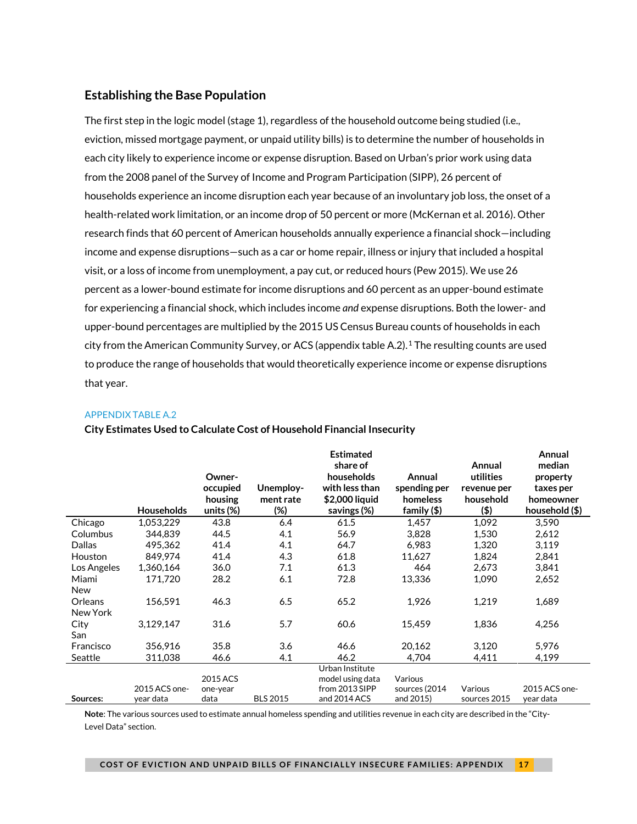#### **Establishing the Base Population**

<span id="page-16-5"></span><span id="page-16-4"></span><span id="page-16-3"></span><span id="page-16-2"></span><span id="page-16-1"></span><span id="page-16-0"></span>The first step in the logic model (stage 1), regardless of the household outcome being studied (i.e., eviction, missed mortgage payment, or unpaid utility bills) is to determine the number of households in each city likely to experience income or expense disruption. Based on Urban's prior work using data from the 2008 panel of the Survey of Income and Program Participation (SIPP), 26 percent of households experience an income disruption each year because of an involuntary job loss, the onset of a health-related work limitation, or an income drop of 50 percent or more (McKernan et al. 2016). Other research finds that 60 percent of American households annually experience a financial shock—including income and expense disruptions—such as a car or home repair, illness or injury that included a hospital visit, or a loss of income from unemployment, a pay cut, or reduced hours (Pew 2015). We use 26 percent as a lower-bound estimate for income disruptions and 60 percent as an upper-bound estimate for experiencing a financial shock, which includes income *and* expense disruptions. Both the lower- and upper-bound percentages are multiplied by the 2015 US Census Bureau counts of households in each city from the American Community Survey, or ACS (appendix table A.2).<sup>[1](#page-29-1)</sup> The resulting counts are used to produce the range of households that would theoretically experience income or expense disruptions that year.

#### <span id="page-16-8"></span><span id="page-16-7"></span><span id="page-16-6"></span>APPENDIX TABLE A.2

<span id="page-16-11"></span><span id="page-16-10"></span><span id="page-16-9"></span>

|             |                   |              |                 | <b>Estimated</b> |               |              | Annual         |
|-------------|-------------------|--------------|-----------------|------------------|---------------|--------------|----------------|
|             |                   |              |                 | share of         |               | Annual       | median         |
|             |                   | Owner-       |                 | households       | Annual        | utilities    | property       |
|             |                   | occupied     | Unemploy-       | with less than   | spending per  | revenue per  | taxes per      |
|             |                   | housing      | ment rate       | \$2,000 liquid   | homeless      | household    | homeowner      |
|             | <b>Households</b> | units $(\%)$ | (%)             | savings (%)      | family $(\$)$ | (\$)         | household (\$) |
| Chicago     | 1,053,229         | 43.8         | 6.4             | 61.5             | 1,457         | 1,092        | 3,590          |
| Columbus    | 344.839           | 44.5         | 4.1             | 56.9             | 3,828         | 1,530        | 2,612          |
| Dallas      | 495,362           | 41.4         | 4.1             | 64.7             | 6.983         | 1,320        | 3,119          |
| Houston     | 849,974           | 41.4         | 4.3             | 61.8             | 11,627        | 1,824        | 2,841          |
| Los Angeles | 1,360,164         | 36.0         | 7.1             | 61.3             | 464           | 2,673        | 3,841          |
| Miami       | 171.720           | 28.2         | 6.1             | 72.8             | 13,336        | 1,090        | 2,652          |
| New         |                   |              |                 |                  |               |              |                |
| Orleans     | 156,591           | 46.3         | 6.5             | 65.2             | 1,926         | 1,219        | 1,689          |
| New York    |                   |              |                 |                  |               |              |                |
| City        | 3,129,147         | 31.6         | 5.7             | 60.6             | 15,459        | 1,836        | 4,256          |
| San         |                   |              |                 |                  |               |              |                |
| Francisco   | 356.916           | 35.8         | 3.6             | 46.6             | 20.162        | 3,120        | 5.976          |
| Seattle     | 311,038           | 46.6         | 4.1             | 46.2             | 4,704         | 4,411        | 4,199          |
|             |                   |              |                 | Urban Institute  |               |              |                |
|             |                   | 2015 ACS     |                 | model using data | Various       |              |                |
|             | 2015 ACS one-     | one-year     |                 | from 2013 SIPP   | sources (2014 | Various      | 2015 ACS one-  |
| Sources:    | year data         | data         | <b>BLS 2015</b> | and 2014 ACS     | and 2015)     | sources 2015 | year data      |

**Estimated** 

#### **City Estimates Used to Calculate Cost of Household Financial Insecurity**

**Note**: The various sources used to estimate annual homeless spending and utilities revenue in each city are described in the "City-Level Data" section.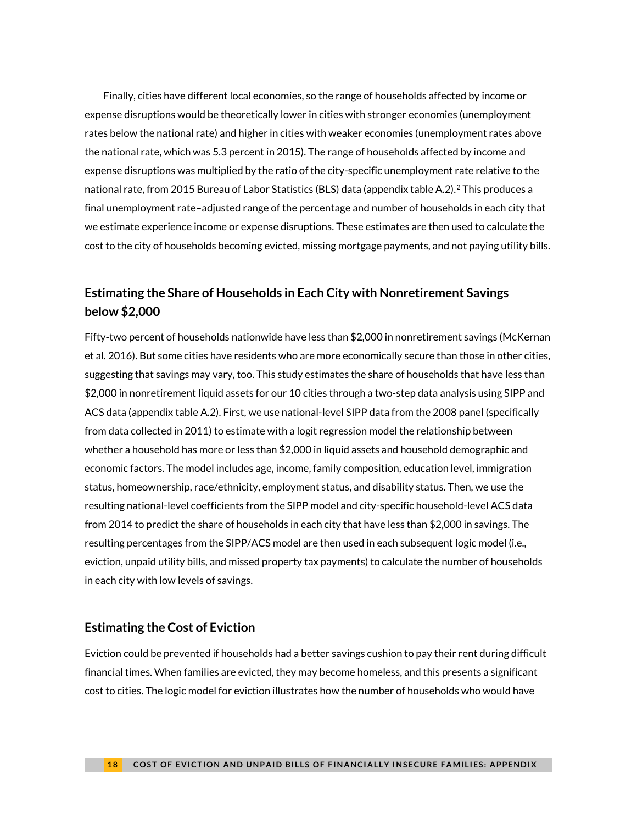<span id="page-17-8"></span><span id="page-17-7"></span>Finally, cities have different local economies, so the range of households affected by income or expense disruptions would be theoretically lower in cities with stronger economies (unemployment rates below the national rate) and higher in cities with weaker economies (unemployment rates above the national rate, which was 5.3 percent in 2015). The range of households affected by income and expense disruptions was multiplied by the ratio of the city-specific unemployment rate relative to the national rate, from 2015 Bureau of Labor Statistics (BLS) data (appendix table A.2).[2](#page-29-2) This produces a final unemployment rate–adjusted range of the percentage and number of households in each city that we estimate experience income or expense disruptions. These estimates are then used to calculate the cost to the city of households becoming evicted, missing mortgage payments, and not paying utility bills.

### **Estimating the Share of Households in Each City with Nonretirement Savings below \$2,000**

Fifty-two percent of households nationwide have less than \$2,000 in nonretirement savings (McKernan et al. 2016). But some cities have residents who are more economically secure than those in other cities, suggesting that savings may vary, too. This study estimates the share of households that have less than \$2,000 in nonretirement liquid assets for our 10 cities through a two-step data analysis using SIPP and ACS data (appendix table A.2). First, we use national-level SIPP data from the 2008 panel (specifically from data collected in 2011) to estimate with a logit regression model the relationship between whether a household has more or less than \$2,000 in liquid assets and household demographic and economic factors. The model includes age, income, family composition, education level, immigration status, homeownership, race/ethnicity, employment status, and disability status. Then, we use the resulting national-level coefficients from the SIPP model and city-specific household-level ACS data from 2014 to predict the share of households in each city that have less than \$2,000 in savings. The resulting percentages from the SIPP/ACS model are then used in each subsequent logic model (i.e., eviction, unpaid utility bills, and missed property tax payments) to calculate the number of households in each city with low levels of savings.

#### <span id="page-17-9"></span><span id="page-17-3"></span><span id="page-17-2"></span><span id="page-17-1"></span><span id="page-17-0"></span>**Estimating the Cost of Eviction**

<span id="page-17-6"></span><span id="page-17-5"></span><span id="page-17-4"></span>Eviction could be prevented if households had a better savings cushion to pay their rent during difficult financial times. When families are evicted, they may become homeless, and this presents a significant cost to cities. The logic model for eviction illustrates how the number of households who would have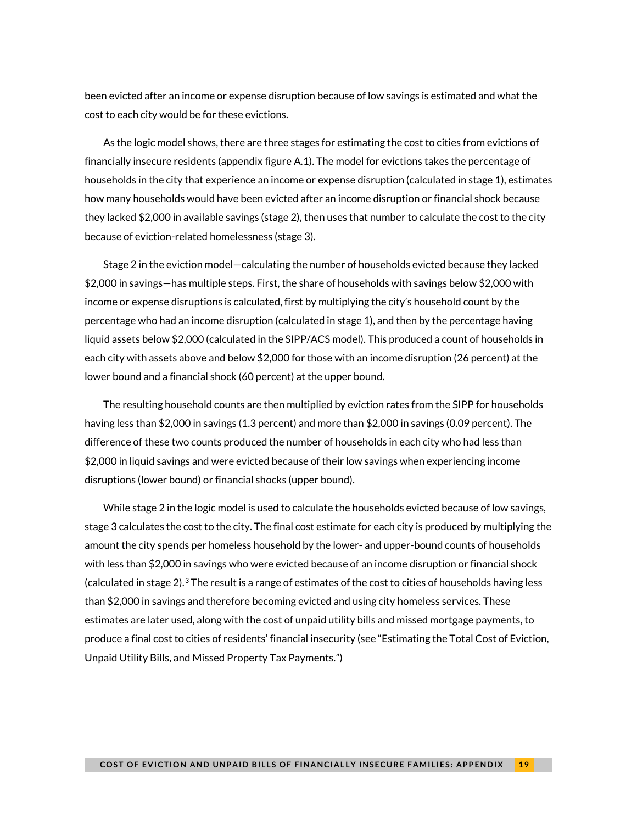been evicted after an income or expense disruption because of low savings is estimated and what the cost to each city would be for these evictions.

As the logic model shows, there are three stages for estimating the cost to cities from evictions of financially insecure residents (appendix figure A.1). The model for evictions takes the percentage of households in the city that experience an income or expense disruption (calculated in stage 1), estimates how many households would have been evicted after an income disruption or financial shock because they lacked \$2,000 in available savings (stage 2), then uses that number to calculate the cost to the city because of eviction-related homelessness (stage 3).

Stage 2 in the eviction model—calculating the number of households evicted because they lacked \$2,000 in savings—has multiple steps. First, the share of households with savings below \$2,000 with income or expense disruptions is calculated, first by multiplying the city's household count by the percentage who had an income disruption (calculated in stage 1), and then by the percentage having liquid assets below \$2,000 (calculated in the SIPP/ACS model). This produced a count of households in each city with assets above and below \$2,000 for those with an income disruption (26 percent) at the lower bound and a financial shock (60 percent) at the upper bound.

The resulting household counts are then multiplied by eviction rates from the SIPP for households having less than \$2,000 in savings (1.3 percent) and more than \$2,000 in savings (0.09 percent). The difference of these two counts produced the number of households in each city who had less than \$2,000 in liquid savings and were evicted because of their low savings when experiencing income disruptions (lower bound) or financial shocks (upper bound).

While stage 2 in the logic model is used to calculate the households evicted because of low savings, stage 3 calculates the cost to the city. The final cost estimate for each city is produced by multiplying the amount the city spends per homeless household by the lower- and upper-bound counts of households with less than \$2,000 in savings who were evicted because of an income disruption or financial shock (calculated in stage 2).<sup>[3](#page-29-3)</sup> The result is a range of estimates of the cost to cities of households having less than \$2,000 in savings and therefore becoming evicted and using city homeless services. These estimates are later used, along with the cost of unpaid utility bills and missed mortgage payments, to produce a final cost to cities of residents' financial insecurity (see ["Estimating the Total Cost of Eviction,](#page-23-0)  [Unpaid Utility Bills, and Missed Property Tax Payments."](#page-23-0))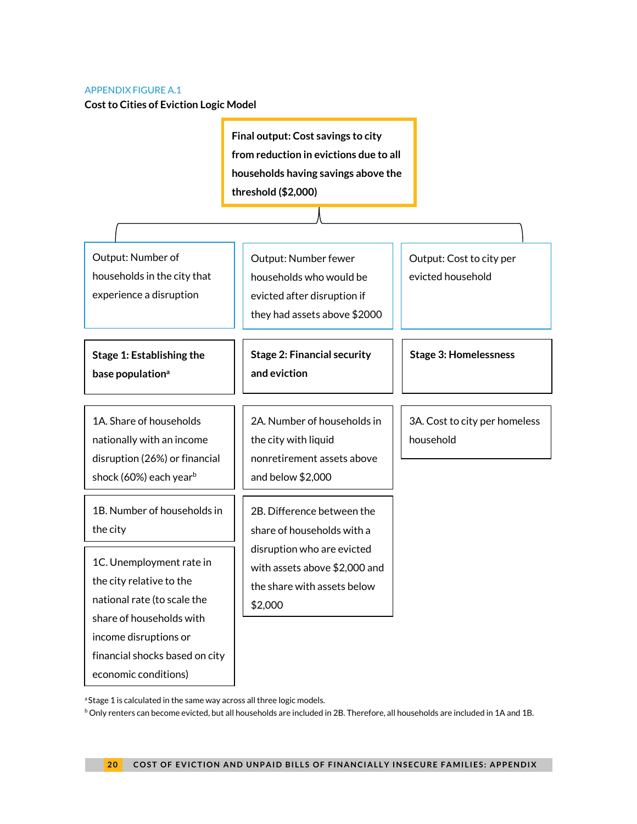#### APPENDIX FIGURE A.1

**Cost to Cities of Eviction Logic Model**

**Final output: Cost savings to city from reduction in evictions due to all households having savings above the threshold (\$2,000)**

Output: Number of households in the city that experience a disruption

**Stage 1: Establishing the base populationa**

1A. Share of households nationally with an income disruption (26%) or financial shock (60%) each year<sup>b</sup>

1B. Number of households in the city

1C. Unemployment rate in the city relative to the national rate (to scale the share of households with income disruptions or financial shocks based on city economic conditions)

Output: Number fewer households who would be evicted after disruption if they had assets above \$2000

**Stage 2: Financial security and eviction**

2A. Number of households in the city with liquid nonretirement assets above and below \$2,000

2B. Difference between the share of households with a disruption who are evicted with assets above \$2,000 and the share with assets below \$2,000

Output: Cost to city per evicted household

**Stage 3: Homelessness**

3A. Cost to city per homeless household

<sup>a</sup> Stage 1 is calculated in the same way across all three logic models.

 $b$  Only renters can become evicted, but all households are included in 2B. Therefore, all households are included in 1A and 1B.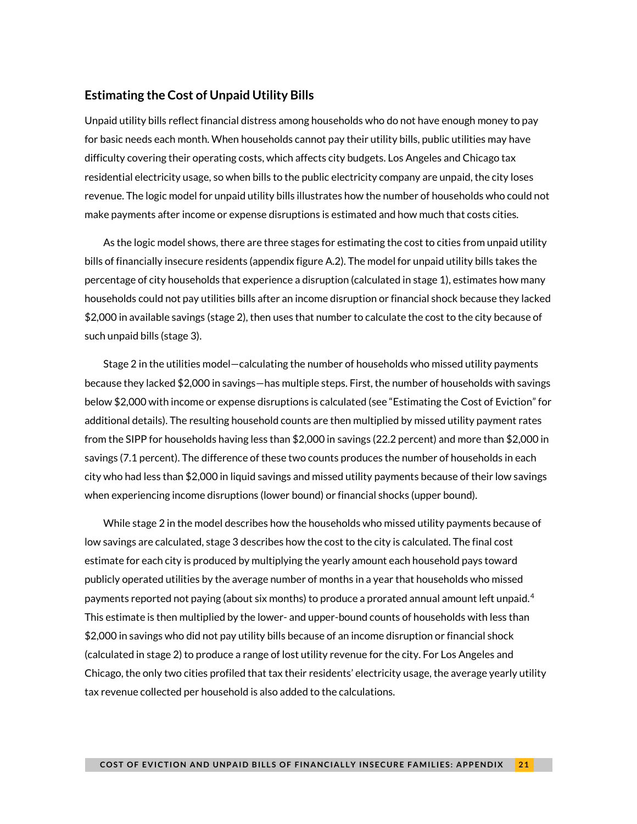#### **Estimating the Cost of Unpaid Utility Bills**

Unpaid utility bills reflect financial distress among households who do not have enough money to pay for basic needs each month. When households cannot pay their utility bills, public utilities may have difficulty covering their operating costs, which affects city budgets. Los Angeles and Chicago tax residential electricity usage, so when bills to the public electricity company are unpaid, the city loses revenue. The logic model for unpaid utility bills illustrates how the number of households who could not make payments after income or expense disruptions is estimated and how much that costs cities.

As the logic model shows, there are three stages for estimating the cost to cities from unpaid utility bills of financially insecure residents (appendix figure A.2). The model for unpaid utility bills takes the percentage of city households that experience a disruption (calculated in stage 1), estimates how many households could not pay utilities bills after an income disruption or financial shock because they lacked \$2,000 in available savings (stage 2), then uses that number to calculate the cost to the city because of such unpaid bills (stage 3).

Stage 2 in the utilities model—calculating the number of households who missed utility payments because they lacked \$2,000 in savings—has multiple steps. First, the number of households with savings below \$2,000 with income or expense disruptions is calculated (see ["Estimating the Cost of Eviction"](#page-17-9) for additional details). The resulting household counts are then multiplied by missed utility payment rates from the SIPP for households having less than \$2,000 in savings (22.2 percent) and more than \$2,000 in savings (7.1 percent). The difference of these two counts produces the number of households in each city who had less than \$2,000 in liquid savings and missed utility payments because of their low savings when experiencing income disruptions (lower bound) or financial shocks (upper bound).

While stage 2 in the model describes how the households who missed utility payments because of low savings are calculated, stage 3 describes how the cost to the city is calculated. The final cost estimate for each city is produced by multiplying the yearly amount each household pays toward publicly operated utilities by the average number of months in a year that households who missed payments reported not paying (about six months) to produce a prorated annual amount left unpaid.  $4$ This estimate is then multiplied by the lower- and upper-bound counts of households with less than \$2,000 in savings who did not pay utility bills because of an income disruption or financial shock (calculated in stage 2) to produce a range of lost utility revenue for the city. For Los Angeles and Chicago, the only two cities profiled that tax their residents' electricity usage, the average yearly utility tax revenue collected per household is also added to the calculations.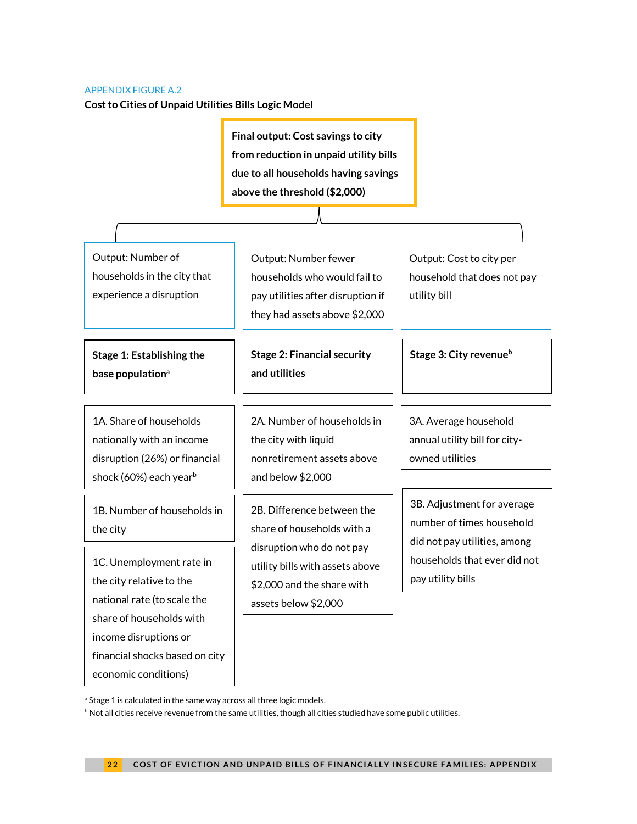#### APPENDIX FIGURE A.2

**Cost to Cities of Unpaid Utilities Bills Logic Model**

**Final output: Cost savings to city from reduction in unpaid utility bills due to all households having savings above the threshold (\$2,000)**

Output: Number of households in the city that experience a disruption

**Stage 1: Establishing the base populationa**

1A. Share of households nationally with an income disruption (26%) or financial shock (60%) each yearb

1B. Number of households in the city

1C. Unemployment rate in the city relative to the national rate (to scale the share of households with income disruptions or financial shocks based on city economic conditions)

Output: Number fewer households who would fail to pay utilities after disruption if they had assets above \$2,000

**Stage 2: Financial security and utilities**

2A. Number of households in the city with liquid nonretirement assets above and below \$2,000

2B. Difference between the share of households with a disruption who do not pay utility bills with assets above \$2,000 and the share with assets below \$2,000

Output: Cost to city per household that does not pay utility bill

**Stage 3: City revenueb**

3A. Average household annual utility bill for cityowned utilities

3B. Adjustment for average number of times household did not pay utilities, among households that ever did not pay utility bills

<sup>a</sup> Stage 1 is calculated in the same way across all three logic models.

<sup>b</sup> Not all cities receive revenue from the same utilities, though all cities studied have some public utilities.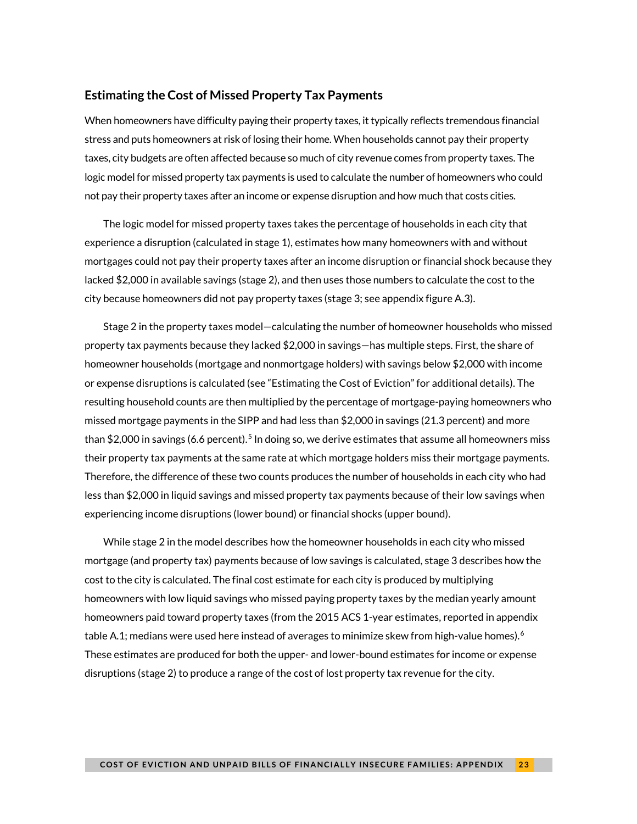#### **Estimating the Cost of Missed Property Tax Payments**

When homeowners have difficulty paying their property taxes, it typically reflects tremendous financial stress and puts homeowners at risk of losing their home. When households cannot pay their property taxes, city budgets are often affected because so much of city revenue comes from property taxes. The logic model for missed property tax payments is used to calculate the number of homeowners who could not pay their property taxes after an income or expense disruption and how much that costs cities.

The logic model for missed property taxes takes the percentage of households in each city that experience a disruption (calculated in stage 1), estimates how many homeowners with and without mortgages could not pay their property taxes after an income disruption or financial shock because they lacked \$2,000 in available savings (stage 2), and then uses those numbers to calculate the cost to the city because homeowners did not pay property taxes (stage 3; see appendix figure A.3).

Stage 2 in the property taxes model—calculating the number of homeowner households who missed property tax payments because they lacked \$2,000 in savings—has multiple steps. First, the share of homeowner households (mortgage and nonmortgage holders) with savings below \$2,000 with income or expense disruptions is calculated (see ["Estimating the Cost of Eviction"](#page-17-9) for additional details). The resulting household counts are then multiplied by the percentage of mortgage-paying homeowners who missed mortgage payments in the SIPP and had less than \$2,000 in savings (21.3 percent) and more than \$2,000 in savings (6.6 percent).<sup>[5](#page-29-5)</sup> In doing so, we derive estimates that assume all homeowners miss their property tax payments at the same rate at which mortgage holders miss their mortgage payments. Therefore, the difference of these two counts produces the number of households in each city who had less than \$2,000 in liquid savings and missed property tax payments because of their low savings when experiencing income disruptions (lower bound) or financial shocks (upper bound).

While stage 2 in the model describes how the homeowner households in each city who missed mortgage (and property tax) payments because of low savings is calculated, stage 3 describes how the cost to the city is calculated. The final cost estimate for each city is produced by multiplying homeowners with low liquid savings who missed paying property taxes by the median yearly amount homeowners paid toward property taxes (from the 2015 ACS 1-year estimates, reported in appendix table A.1; medians were used here instead of averages to minimize skew from high-value homes). $^6$  $^6$ These estimates are produced for both the upper- and lower-bound estimates for income or expense disruptions (stage 2) to produce a range of the cost of lost property tax revenue for the city.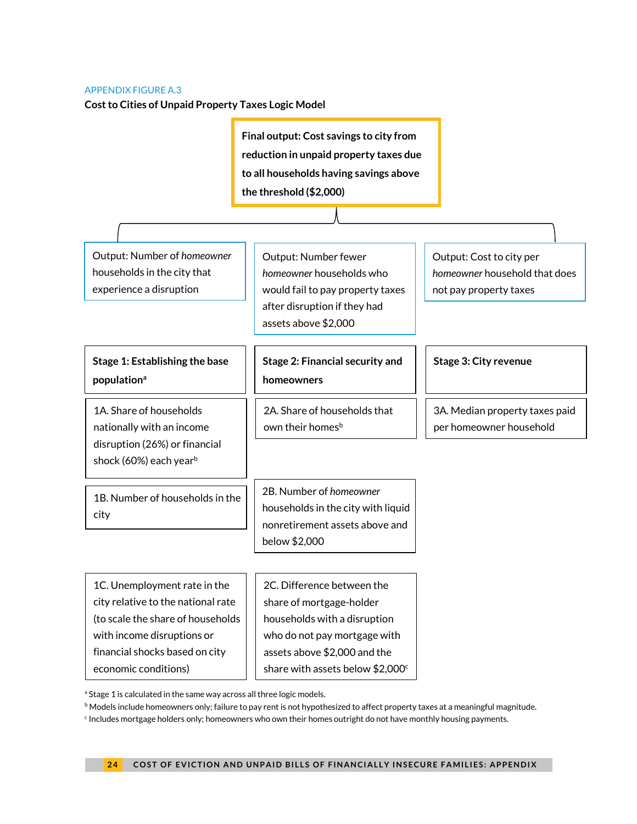#### <span id="page-23-0"></span>APPENDIX FIGURE A.3

**Cost to Cities of Unpaid Property Taxes Logic Model**

**Final output: Cost savings to city from reduction in unpaid property taxes due to all households having savings above the threshold (\$2,000)**

Output: Number of *homeowner*  households in the city that experience a disruption

Output: Number fewer *homeowner* households who would fail to pay property taxes after disruption if they had assets above \$2,000

### **Stage 1: Establishing the base populationa**

1A. Share of households nationally with an income disruption (26%) or financial shock (60%) each year<sup>b</sup>

1B. Number of households in the city

**Stage 2: Financial security and homeowners**

2A. Share of households that own their homes<sup>b</sup>

Output: Cost to city per *homeowner* household that does not pay property taxes

**Stage 3: City revenue**

3A. Median property taxes paid per homeowner household

2B. Number of *homeowner* households in the city with liquid nonretirement assets above and below \$2,000

1C. Unemployment rate in the city relative to the national rate (to scale the share of households with income disruptions or financial shocks based on city economic conditions)

2C. Difference between the share of mortgage-holder households with a disruption who do not pay mortgage with assets above \$2,000 and the share with assets below  $$2,000^{\circ}$ 

<sup>a</sup> Stage 1 is calculated in the same way across all three logic models.

**b** Models include homeowners only; failure to pay rent is not hypothesized to affect property taxes at a meaningful magnitude.

<sup>c</sup> Includes mortgage holders only; homeowners who own their homes outright do not have monthly housing payments.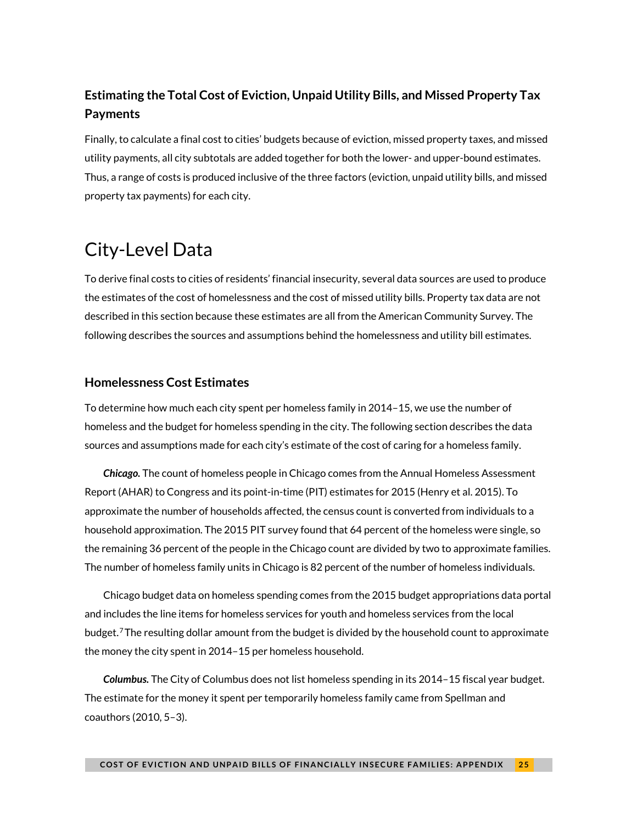## **Estimating the Total Cost of Eviction, Unpaid Utility Bills, and Missed Property Tax Payments**

Finally, to calculate a final cost to cities' budgets because of eviction, missed property taxes, and missed utility payments, all city subtotals are added together for both the lower- and upper-bound estimates. Thus, a range of costs is produced inclusive of the three factors (eviction, unpaid utility bills, and missed property tax payments) for each city.

# <span id="page-24-0"></span>City-Level Data

To derive final costs to cities of residents' financial insecurity, several data sources are used to produce the estimates of the cost of homelessness and the cost of missed utility bills. Property tax data are not described in this section because these estimates are all from the American Community Survey. The following describes the sources and assumptions behind the homelessness and utility bill estimates.

#### **Homelessness Cost Estimates**

To determine how much each city spent per homeless family in 2014–15, we use the number of homeless and the budget for homeless spending in the city. The following section describes the data sources and assumptions made for each city's estimate of the cost of caring for a homeless family.

*Chicago.* The count of homeless people in Chicago comes from the Annual Homeless Assessment Report (AHAR) to Congress and its point-in-time (PIT) estimates for 2015 (Henry et al. 2015). To approximate the number of households affected, the census count is converted from individuals to a household approximation. The 2015 PIT survey found that 64 percent of the homeless were single, so the remaining 36 percent of the people in the Chicago count are divided by two to approximate families. The number of homeless family units in Chicago is 82 percent of the number of homeless individuals.

Chicago budget data on homeless spending comes from the 2015 budget appropriations data portal and includes the line items for homeless services for youth and homeless services from the local budget.[7](#page-29-7)The resulting dollar amount from the budget is divided by the household count to approximate the money the city spent in 2014–15 per homeless household.

*Columbus.* The City of Columbus does not list homeless spending in its 2014–15 fiscal year budget. The estimate for the money it spent per temporarily homeless family came from Spellman and coauthors (2010, 5–3).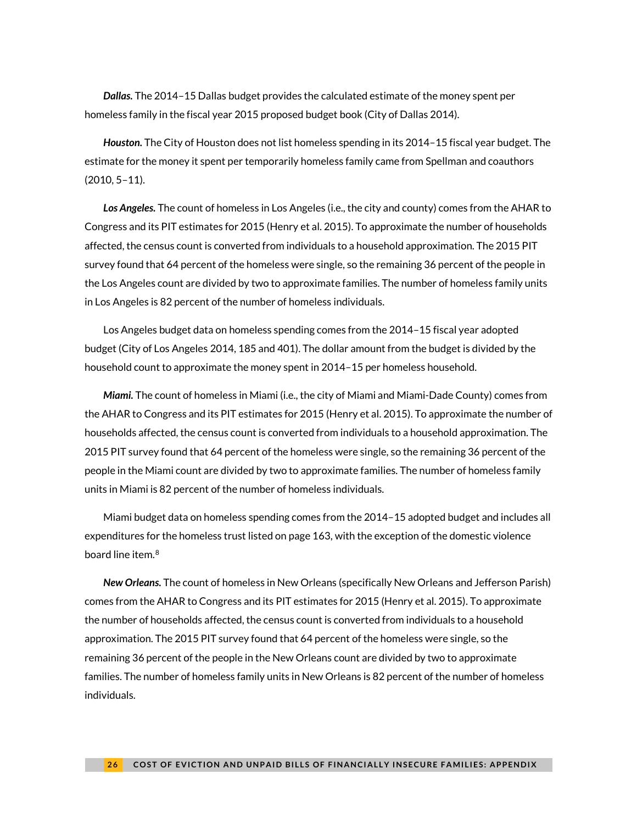*Dallas.* The 2014–15 Dallas budget provides the calculated estimate of the money spent per homeless family in the fiscal year 2015 proposed budget book (City of Dallas 2014).

*Houston.* The City of Houston does not list homeless spending in its 2014–15 fiscal year budget. The estimate for the money it spent per temporarily homeless family came from Spellman and coauthors (2010, 5–11).

*Los Angeles.* The count of homeless in Los Angeles (i.e., the city and county) comes from the AHAR to Congress and its PIT estimates for 2015 (Henry et al. 2015). To approximate the number of households affected, the census count is converted from individuals to a household approximation. The 2015 PIT survey found that 64 percent of the homeless were single, so the remaining 36 percent of the people in the Los Angeles count are divided by two to approximate families. The number of homeless family units in Los Angeles is 82 percent of the number of homeless individuals.

Los Angeles budget data on homeless spending comes from the 2014–15 fiscal year adopted budget (City of Los Angeles 2014, 185 and 401). The dollar amount from the budget is divided by the household count to approximate the money spent in 2014–15 per homeless household.

*Miami.* The count of homeless in Miami (i.e., the city of Miami and Miami-Dade County) comes from the AHAR to Congress and its PIT estimates for 2015 (Henry et al. 2015). To approximate the number of households affected, the census count is converted from individuals to a household approximation. The 2015 PIT survey found that 64 percent of the homeless were single, so the remaining 36 percent of the people in the Miami count are divided by two to approximate families. The number of homeless family units in Miami is 82 percent of the number of homeless individuals.

Miami budget data on homeless spending comes from the 2014–15 adopted budget and includes all expenditures for the homeless trust listed on page 163, with the exception of the domestic violence board line item.<sup>[8](#page-29-8)</sup>

*New Orleans.* The count of homeless in New Orleans (specifically New Orleans and Jefferson Parish) comes from the AHAR to Congress and its PIT estimates for 2015 (Henry et al. 2015). To approximate the number of households affected, the census count is converted from individuals to a household approximation. The 2015 PIT survey found that 64 percent of the homeless were single, so the remaining 36 percent of the people in the New Orleans count are divided by two to approximate families. The number of homeless family units in New Orleans is 82 percent of the number of homeless individuals.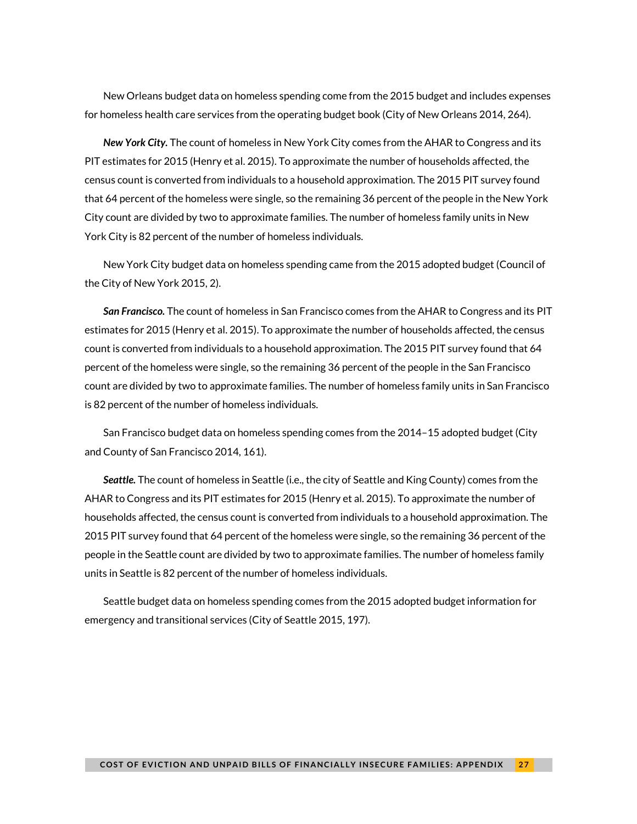New Orleans budget data on homeless spending come from the 2015 budget and includes expenses for homeless health care services from the operating budget book (City of New Orleans 2014, 264).

*New York City.* The count of homeless in New York City comes from the AHAR to Congress and its PIT estimates for 2015 (Henry et al. 2015). To approximate the number of households affected, the census count is converted from individuals to a household approximation. The 2015 PIT survey found that 64 percent of the homeless were single, so the remaining 36 percent of the people in the New York City count are divided by two to approximate families. The number of homeless family units in New York City is 82 percent of the number of homeless individuals.

New York City budget data on homeless spending came from the 2015 adopted budget (Council of the City of New York 2015, 2).

*San Francisco.* The count of homeless in San Francisco comes from the AHAR to Congress and its PIT estimates for 2015 (Henry et al. 2015). To approximate the number of households affected, the census count is converted from individuals to a household approximation. The 2015 PIT survey found that 64 percent of the homeless were single, so the remaining 36 percent of the people in the San Francisco count are divided by two to approximate families. The number of homeless family units in San Francisco is 82 percent of the number of homeless individuals.

San Francisco budget data on homeless spending comes from the 2014–15 adopted budget (City and County of San Francisco 2014, 161).

*Seattle.* The count of homeless in Seattle (i.e., the city of Seattle and King County) comes from the AHAR to Congress and its PIT estimates for 2015 (Henry et al. 2015). To approximate the number of households affected, the census count is converted from individuals to a household approximation. The 2015 PIT survey found that 64 percent of the homeless were single, so the remaining 36 percent of the people in the Seattle count are divided by two to approximate families. The number of homeless family units in Seattle is 82 percent of the number of homeless individuals.

Seattle budget data on homeless spending comes from the 2015 adopted budget information for emergency and transitional services (City of Seattle 2015, 197).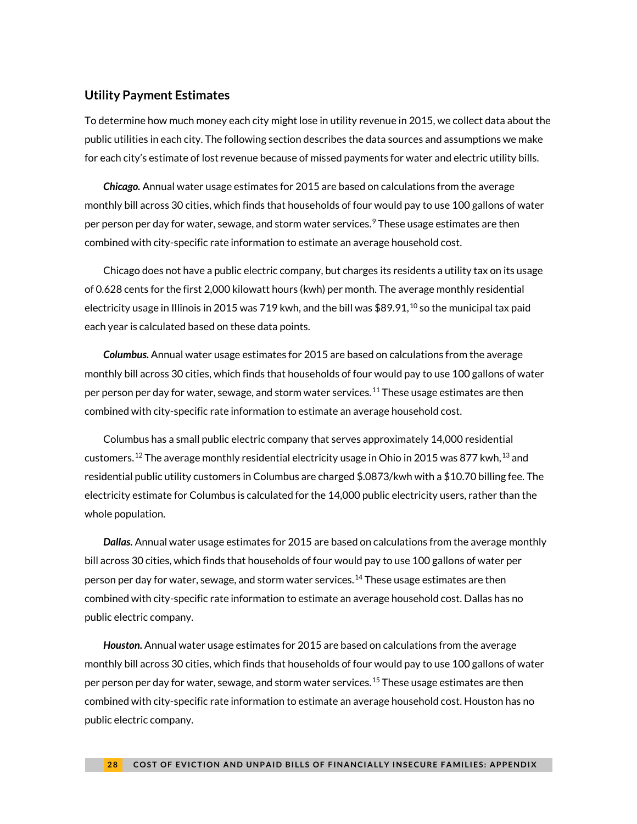#### **Utility Payment Estimates**

To determine how much money each city might lose in utility revenue in 2015, we collect data about the public utilities in each city. The following section describes the data sources and assumptions we make for each city's estimate of lost revenue because of missed payments for water and electric utility bills.

*Chicago.* Annual water usage estimates for 2015 are based on calculations from the average monthly bill across 30 cities, which finds that households of four would pay to use 100 gallons of water per person per day for water, sewage, and storm water services. [9](#page-29-9) These usage estimates are then combined with city-specific rate information to estimate an average household cost.

Chicago does not have a public electric company, but charges its residents a utility tax on its usage of 0.628 cents for the first 2,000 kilowatt hours (kwh) per month. The average monthly residential electricity usage in Illinois in 2015 was 719 kwh, and the bill was  $$89.91,^{10}$  $$89.91,^{10}$  $$89.91,^{10}$  so the municipal tax paid each year is calculated based on these data points.

*Columbus.* Annual water usage estimates for 2015 are based on calculations from the average monthly bill across 30 cities, which finds that households of four would pay to use 100 gallons of water per person per day for water, sewage, and storm water services.<sup>[11](#page-29-11)</sup> These usage estimates are then combined with city-specific rate information to estimate an average household cost.

Columbus has a small public electric company that serves approximately 14,000 residential customers.  $^{12}$  $^{12}$  $^{12}$  The average monthly residential electricity usage in Ohio in 2015 was 877 kwh,  $^{13}$  $^{13}$  $^{13}$  and residential public utility customers in Columbus are charged \$.0873/kwh with a \$10.70 billing fee. The electricity estimate for Columbus is calculated for the 14,000 public electricity users, rather than the whole population.

*Dallas.* Annual water usage estimates for 2015 are based on calculations from the average monthly bill across 30 cities, which finds that households of four would pay to use 100 gallons of water per person per day for water, sewage, and storm water services.<sup>[14](#page-29-14)</sup> These usage estimates are then combined with city-specific rate information to estimate an average household cost. Dallas has no public electric company.

*Houston.* Annual water usage estimates for 2015 are based on calculations from the average monthly bill across 30 cities, which finds that households of four would pay to use 100 gallons of water per person per day for water, sewage, and storm water services.<sup>[15](#page-29-15)</sup> These usage estimates are then combined with city-specific rate information to estimate an average household cost. Houston has no public electric company.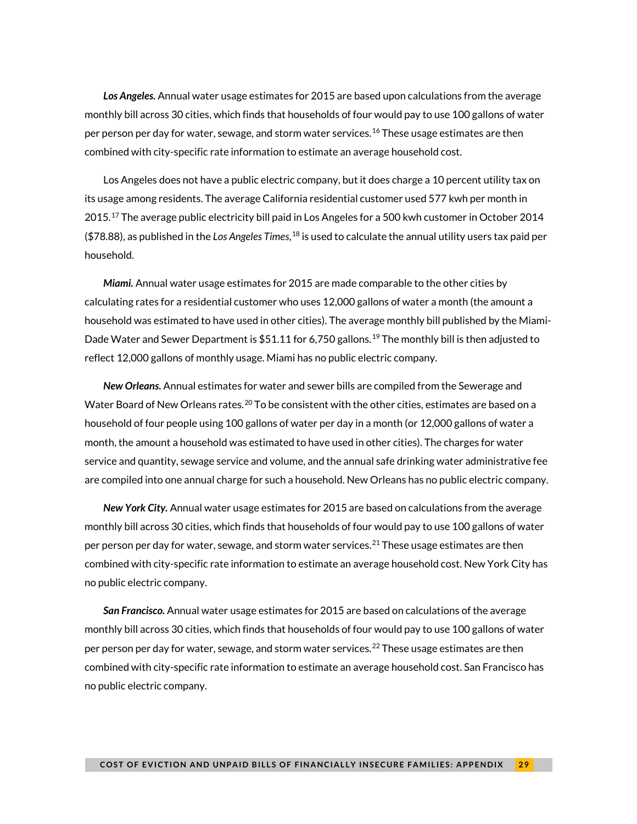*Los Angeles.* Annual water usage estimates for 2015 are based upon calculations from the average monthly bill across 30 cities, which finds that households of four would pay to use 100 gallons of water per person per day for water, sewage, and storm water services.[16](#page-29-16) These usage estimates are then combined with city-specific rate information to estimate an average household cost.

Los Angeles does not have a public electric company, but it does charge a 10 percent utility tax on its usage among residents. The average California residential customer used 577 kwh per month in  $2015$ .<sup>[17](#page-29-17)</sup> The average public electricity bill paid in Los Angeles for a 500 kwh customer in October 2014 (\$78.88), as published in the *Los Angeles Times*, [18](#page-29-18) is used to calculate the annual utility users tax paid per household.

*Miami.* Annual water usage estimates for 2015 are made comparable to the other cities by calculating rates for a residential customer who uses 12,000 gallons of water a month (the amount a household was estimated to have used in other cities). The average monthly bill published by the Miami-Dade Water and Sewer Department is \$51.11 for 6,750 gallons.<sup>[19](#page-29-19)</sup> The monthly bill is then adjusted to reflect 12,000 gallons of monthly usage. Miami has no public electric company.

*New Orleans.* Annual estimates for water and sewer bills are compiled from the Sewerage and Water Board of New Orleans rates.<sup>[20](#page-29-20)</sup> To be consistent with the other cities, estimates are based on a household of four people using 100 gallons of water per day in a month (or 12,000 gallons of water a month, the amount a household was estimated to have used in other cities). The charges for water service and quantity, sewage service and volume, and the annual safe drinking water administrative fee are compiled into one annual charge for such a household. New Orleans has no public electric company.

*New York City.* Annual water usage estimates for 2015 are based on calculations from the average monthly bill across 30 cities, which finds that households of four would pay to use 100 gallons of water per person per day for water, sewage, and storm water services.<sup>[21](#page-29-21)</sup> These usage estimates are then combined with city-specific rate information to estimate an average household cost. New York City has no public electric company.

*San Francisco.* Annual water usage estimates for 2015 are based on calculations of the average monthly bill across 30 cities, which finds that households of four would pay to use 100 gallons of water per person per day for water, sewage, and storm water services.<sup>[22](#page-29-22)</sup> These usage estimates are then combined with city-specific rate information to estimate an average household cost. San Francisco has no public electric company.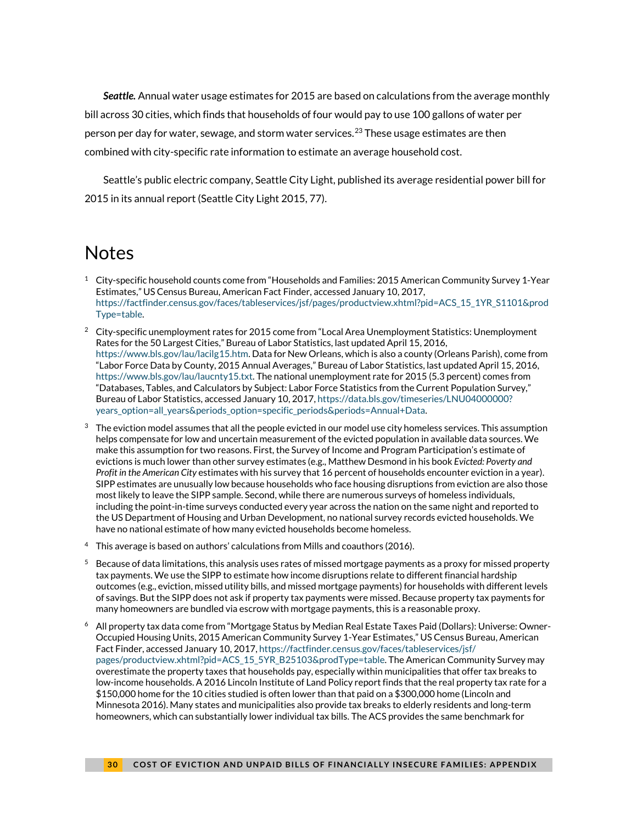<span id="page-29-7"></span>*Seattle.* Annual water usage estimates for 2015 are based on calculations from the average monthly bill across 30 cities, which finds that households of four would pay to use 100 gallons of water per person per day for water, sewage, and storm water services.<sup>[23](#page-29-23)</sup> These usage estimates are then combined with city-specific rate information to estimate an average household cost.

<span id="page-29-9"></span><span id="page-29-8"></span>Seattle's public electric company, Seattle City Light, published its average residential power bill for 2015 in its annual report (Seattle City Light 2015, 77).

## <span id="page-29-10"></span><span id="page-29-0"></span>Notes

- <span id="page-29-12"></span><span id="page-29-11"></span><span id="page-29-1"></span> $^1$  City-specific household counts come from "Households and Families: 2015 American Community Survey 1-Year Estimates," US Census Bureau, American Fact Finder, accessed January 10, 2017, [https://factfinder.census.gov/faces/tableservices/jsf/pages/productview.xhtml?pid=ACS\\_15\\_1YR\\_S1101&prod](https://factfinder.census.gov/faces/tableservices/jsf/pages/productview.xhtml?pid=ACS_15_1YR_S1101&prodType=table) [Type=table.](https://factfinder.census.gov/faces/tableservices/jsf/pages/productview.xhtml?pid=ACS_15_1YR_S1101&prodType=table)
- <span id="page-29-16"></span><span id="page-29-15"></span><span id="page-29-14"></span><span id="page-29-13"></span><span id="page-29-2"></span><sup>2</sup> City-specific unemployment rates for 2015 come from "Local Area Unemployment Statistics: Unemployment Rates for the 50 Largest Cities," Bureau of Labor Statistics, last updated April 15, 2016, [https://www.bls.gov/lau/lacilg15.htm.](https://www.bls.gov/lau/lacilg15.htm) Data for New Orleans, which is also a county (Orleans Parish), come from "Labor Force Data by County, 2015 Annual Averages," Bureau of Labor Statistics, last updated April 15, 2016, [https://www.bls.gov/lau/laucnty15.txt.](https://www.bls.gov/lau/laucnty15.txt) The national unemployment rate for 2015 (5.3 percent) comes from "Databases, Tables, and Calculators by Subject: Labor Force Statistics from the Current Population Survey," Bureau of Labor Statistics, accessed January 10, 2017[, https://data.bls.gov/timeseries/LNU04000000?](https://data.bls.gov/timeseries/LNU04000000?years_option=all_years&periods_option=specific_periods&periods=Annual+Data) [years\\_option=all\\_years&periods\\_option=specific\\_periods&periods=Annual+Data.](https://data.bls.gov/timeseries/LNU04000000?years_option=all_years&periods_option=specific_periods&periods=Annual+Data)
- <span id="page-29-20"></span><span id="page-29-19"></span><span id="page-29-18"></span><span id="page-29-17"></span><span id="page-29-3"></span> $3$  The eviction model assumes that all the people evicted in our model use city homeless services. This assumption helps compensate for low and uncertain measurement of the evicted population in available data sources. We make this assumption for two reasons. First, the Survey of Income and Program Participation's estimate of evictions is much lower than other survey estimates (e.g., Matthew Desmond in his book *Evicted: Poverty and Profit in the American City* estimates with his survey that 16 percent of households encounter eviction in a year). SIPP estimates are unusually low because households who face housing disruptions from eviction are also those most likely to leave the SIPP sample. Second, while there are numerous surveys of homeless individuals, including the point-in-time surveys conducted every year across the nation on the same night and reported to the US Department of Housing and Urban Development, no national survey records evicted households. We have no national estimate of how many evicted households become homeless.
- <span id="page-29-23"></span><span id="page-29-22"></span><span id="page-29-21"></span><span id="page-29-4"></span> $4$  This average is based on authors' calculations from Mills and coauthors (2016).
- <span id="page-29-5"></span> $^5$  Because of data limitations, this analysis uses rates of missed mortgage payments as a proxy for missed property tax payments. We use the SIPP to estimate how income disruptions relate to different financial hardship outcomes (e.g., eviction, missed utility bills, and missed mortgage payments) for households with different levels of savings. But the SIPP does not ask if property tax payments were missed. Because property tax payments for many homeowners are bundled via escrow with mortgage payments, this is a reasonable proxy.
- <span id="page-29-6"></span><sup>6</sup> All property tax data come from "Mortgage Status by Median Real Estate Taxes Paid (Dollars): Universe: Owner-Occupied Housing Units, 2015 American Community Survey 1-Year Estimates," US Census Bureau, American Fact Finder, accessed January 10, 2017[, https://factfinder.census.gov/faces/tableservices/jsf/](https://factfinder.census.gov/faces/tableservices/jsf/pages/productview.xhtml?pid=ACS_15_5YR_B25103&prodType=table) [pages/productview.xhtml?pid=ACS\\_15\\_5YR\\_B25103&prodType=table.](https://factfinder.census.gov/faces/tableservices/jsf/pages/productview.xhtml?pid=ACS_15_5YR_B25103&prodType=table) The American Community Survey may overestimate the property taxes that households pay, especially within municipalities that offer tax breaks to low-income households. A 2016 Lincoln Institute of Land Policy report finds that the real property tax rate for a \$150,000 home for the 10 cities studied is often lower than that paid on a \$300,000 home (Lincoln and Minnesota 2016). Many states and municipalities also provide tax breaks to elderly residents and long-term homeowners, which can substantially lower individual tax bills. The ACS provides the same benchmark for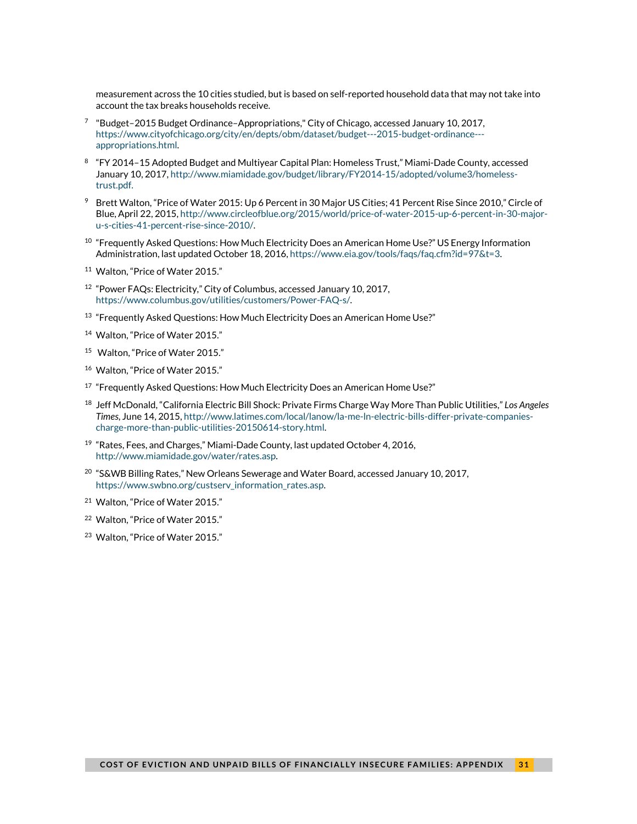measurement across the 10 cities studied, but is based on self-reported household data that may not take into account the tax breaks households receive.

- $7$  "Budget–2015 Budget Ordinance–Appropriations," City of Chicago, accessed January 10, 2017, [https://www.cityofchicago.org/city/en/depts/obm/dataset/budget---2015-budget-ordinance--](https://www.cityofchicago.org/city/en/depts/obm/dataset/budget---2015-budget-ordinance---appropriations.html) [appropriations.html.](https://www.cityofchicago.org/city/en/depts/obm/dataset/budget---2015-budget-ordinance---appropriations.html)
- <sup>8</sup> "FY 2014–15 Adopted Budget and Multiyear Capital Plan: Homeless Trust," Miami-Dade County, accessed January 10, 2017[, http://www.miamidade.gov/budget/library/FY2014-15/adopted/volume3/homeless](http://www.miamidade.gov/budget/library/FY2014-15/adopted/volume3/homeless-trust.pdf)[trust.pdf.](http://www.miamidade.gov/budget/library/FY2014-15/adopted/volume3/homeless-trust.pdf)
- <sup>9</sup> Brett Walton, "Price of Water 2015: Up 6 Percent in 30 Major US Cities; 41 Percent Rise Since 2010," Circle of Blue, April 22, 2015[, http://www.circleofblue.org/2015/world/price-of-water-2015-up-6-percent-in-30-major](http://www.circleofblue.org/2015/world/price-of-water-2015-up-6-percent-in-30-major-u-s-cities-41-percent-rise-since-2010/)[u-s-cities-41-percent-rise-since-2010/.](http://www.circleofblue.org/2015/world/price-of-water-2015-up-6-percent-in-30-major-u-s-cities-41-percent-rise-since-2010/)
- $10$  "Frequently Asked Questions: How Much Electricity Does an American Home Use?" US Energy Information Administration, last updated October 18, 2016[, https://www.eia.gov/tools/faqs/faq.cfm?id=97&t=3.](https://www.eia.gov/tools/faqs/faq.cfm?id=97&t=3)
- <sup>11</sup> Walton, "Price of Water 2015."
- <sup>12</sup> "Power FAQs: Electricity," City of Columbus, accessed January 10, 2017, [https://www.columbus.gov/utilities/customers/Power-FAQ-s/.](https://www.columbus.gov/utilities/customers/Power-FAQ-s/)
- <sup>13</sup> "Frequently Asked Questions: How Much Electricity Does an American Home Use?"
- <sup>14</sup> Walton, "Price of Water 2015."
- <sup>15</sup> Walton, "Price of Water 2015."
- 16 Walton, "Price of Water 2015."
- <sup>17</sup> "Frequently Asked Questions: How Much Electricity Does an American Home Use?"
- <sup>18</sup> Jeff McDonald, "California Electric Bill Shock: Private Firms Charge Way More Than Public Utilities," *Los Angeles Times*, June 14, 2015[, http://www.latimes.com/local/lanow/la-me-ln-electric-bills-differ-private-companies](http://www.latimes.com/local/lanow/la-me-ln-electric-bills-differ-private-companies-charge-more-than-public-utilities-20150614-story.html)[charge-more-than-public-utilities-20150614-story.html.](http://www.latimes.com/local/lanow/la-me-ln-electric-bills-differ-private-companies-charge-more-than-public-utilities-20150614-story.html)
- <sup>19</sup> "Rates, Fees, and Charges," Miami-Dade County, last updated October 4, 2016, [http://www.miamidade.gov/water/rates.asp.](http://www.miamidade.gov/water/rates.asp)
- <sup>20</sup> "S&WB Billing Rates," New Orleans Sewerage and Water Board, accessed January 10, 2017, [https://www.swbno.org/custserv\\_information\\_rates.asp.](https://www.swbno.org/custserv_information_rates.asp)
- <sup>21</sup> Walton, "Price of Water 2015."
- <sup>22</sup> Walton, "Price of Water 2015."
- <sup>23</sup> Walton, "Price of Water 2015."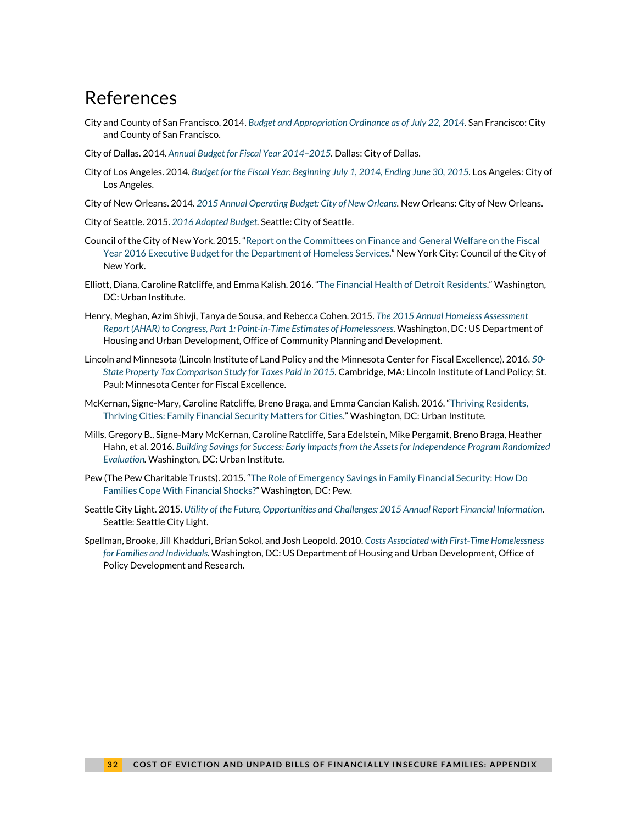## <span id="page-31-0"></span>References

- City and County of San Francisco. 2014. *[Budget and Appropriation Ordinance as of July 22, 2014.](http://sfcontroller.org/sites/default/files/FileCenter/Documents/5550-AAO%20FY%2014-15%20and%20FY%2015-16%20FINAL%20for%20Print%202014.07.28%20for%20posting.pdf)* San Francisco: City and County of San Francisco.
- City of Dallas. 2014. *[Annual Budget for Fiscal Year 2014–2015.](http://www.dallascityhall.com/Budget/proposed_1415/FY15-ProposedBudgetBook.pdf)* Dallas: City of Dallas.
- City of Los Angeles. 2014. *[Budget for the Fiscal Year: Beginning July 1, 2014, Ending June 30, 2015.](http://www.lacontroller.org/2014_2015_adopted_budget)* Los Angeles: City of Los Angeles.
- City of New Orleans. 2014. *[2015 Annual Operating Budget: City of New Orleans.](http://www.nola.gov/getattachment/Mayor/Budget/2015-Proposed-Budget-Book.pdf/)* New Orleans: City of New Orleans.
- City of Seattle. 2015. *[2016 Adopted Budget.](http://www.seattle.gov/financedepartment/16AdoptedBudget/documents/2016adoptedbudget.pdf)* Seattle: City of Seattle.
- Council of the City of New York. 2015. ["Report on the Committees on Finance and General Welfare on the Fiscal](http://council.nyc.gov/html/budget/2016/ex/dhs.pdf)  [Year 2016 Executive Budget for the Department of Homeless Services."](http://council.nyc.gov/html/budget/2016/ex/dhs.pdf) New York City: Council of the City of New York.
- Elliott, Diana, Caroline Ratcliffe, and Emma Kalish. 2016. ["The Financial Health of Detroit Residents.](https://www.urban.org/research/publication/financial-health-detroit-residents)" Washington, DC: Urban Institute.
- Henry, Meghan, Azim Shivji, Tanya de Sousa, and Rebecca Cohen. 2015. *[The 2015 Annual Homeless Assessment](https://www.hudexchange.info/resources/documents/2015-AHAR-Part-1.pdf)  [Report \(AHAR\) to Congress, Part 1: Point-in-Time Estimates of Homelessness.](https://www.hudexchange.info/resources/documents/2015-AHAR-Part-1.pdf)* Washington, DC: US Department of Housing and Urban Development, Office of Community Planning and Development.
- Lincoln and Minnesota (Lincoln Institute of Land Policy and the Minnesota Center for Fiscal Excellence). 2016. *[50-](http://www.lincolninst.edu/publications/other/50-state-property-tax-comparison-study-0)* [State Property Tax Comparison Study for Taxes Paid in 2015.](http://www.lincolninst.edu/publications/other/50-state-property-tax-comparison-study-0) Cambridge, MA: Lincoln Institute of Land Policy; St. Paul: Minnesota Center for Fiscal Excellence.
- McKernan, Signe-Mary, Caroline Ratcliffe, Breno Braga, and Emma Cancian Kalish. 2016. ["Thriving Residents,](https://www.urban.org/research/publication/thriving-residents-thriving-cities-family-financial-security-matters-cities)  [Thriving Cities: Family Financial Security Matters for Cities."](https://www.urban.org/research/publication/thriving-residents-thriving-cities-family-financial-security-matters-cities) Washington, DC: Urban Institute.
- Mills, Gregory B., Signe-Mary McKernan, Caroline Ratcliffe, Sara Edelstein, Mike Pergamit, Breno Braga, Heather Hahn, et al. 2016. *[Building Savings for Success: Early Impacts from the Assets for Independence Program Randomized](https://www.urban.org/research/publication/building-savings-success)  [Evaluation.](https://www.urban.org/research/publication/building-savings-success)* Washington, DC: Urban Institute.
- Pew (The Pew Charitable Trusts). 2015. ["The Role of Emergency Savings in Family Financial Security: How Do](http://www.pewtrusts.org/%7E/media/assets/2015/10/emergency-savings-report-1_artfinal.pdf)  [Families Cope With Financial Shocks?"](http://www.pewtrusts.org/%7E/media/assets/2015/10/emergency-savings-report-1_artfinal.pdf) Washington, DC: Pew.
- Seattle City Light. 2015. *[Utility of the Future, Opportunities and Challenges: 2015 Annual Report Financial Information.](http://www.seattle.gov/light/pubs/annualrpt/2015/flipbook/index.html?page=1)* Seattle: Seattle City Light.
- Spellman, Brooke, Jill Khadduri, Brian Sokol, and Josh Leopold. 2010. *[Costs Associated with First-Time Homelessness](https://www.huduser.gov/portal/publications/pdf/Costs_Homeless.pdf)  [for Families and Individuals.](https://www.huduser.gov/portal/publications/pdf/Costs_Homeless.pdf)* Washington, DC: US Department of Housing and Urban Development, Office of Policy Development and Research.